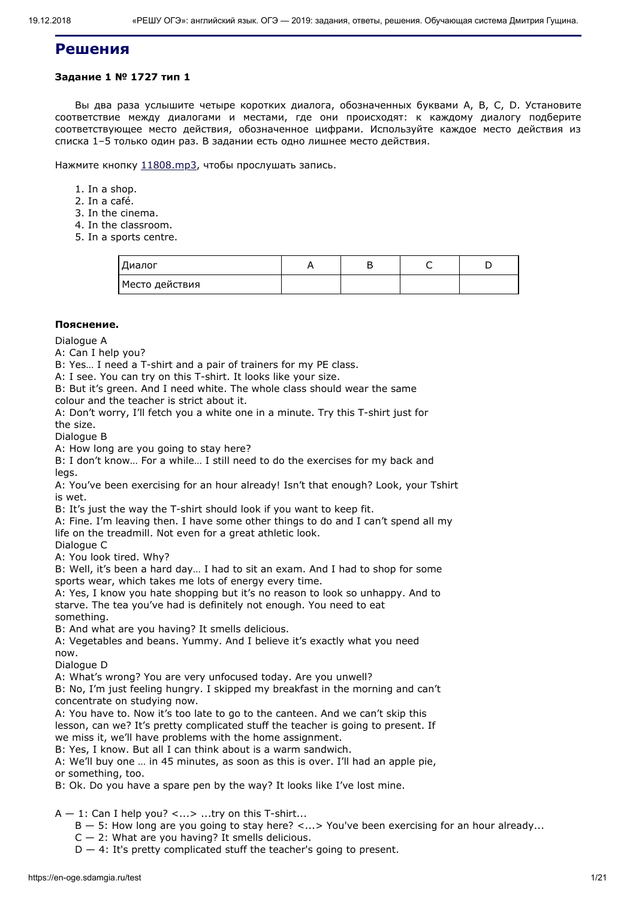# **Решения**

# **Задание 1 № 1727 тип 1**

Вы два раза услышите четыре коротких диалога, обозначенных буквами А, B, C, D. Установите соответствие между диалогами и местами, где они происходят: к каждому диалогу подберите соответствующее место действия, обозначенное цифрами. Используйте каждое место действия из списка 1–5 только один раз. В задании есть одно лишнее место действия.

Нажмите кнопку [11808.mp3,](https://en-oge.sdamgia.ru/files/11808.mp3) чтобы прослушать запись.

1. In a shop.

- 2. In a café.
- 3. In the cinema.
- 4. In the classroom.
- 5. In a sports centre.

| Диалог         |  |  |
|----------------|--|--|
| Место действия |  |  |

### **Пояснение.**

Dialogue A

A: Can I help you?

B: Yes… I need a T-shirt and a pair of trainers for my PE class.

A: I see. You can try on this T-shirt. It looks like your size.

B: But it's green. And I need white. The whole class should wear the same colour and the teacher is strict about it.

A: Don't worry, I'll fetch you a white one in a minute. Try this T-shirt just for the size.

Dialogue B

A: How long are you going to stay here?

B: I don't know… For a while… I still need to do the exercises for my back and legs.

A: You've been exercising for an hour already! Isn't that enough? Look, your Tshirt is wet.

B: It's just the way the T-shirt should look if you want to keep fit.

A: Fine. I'm leaving then. I have some other things to do and I can't spend all my life on the treadmill. Not even for a great athletic look.

Dialogue C

A: You look tired. Why?

B: Well, it's been a hard day… I had to sit an exam. And I had to shop for some sports wear, which takes me lots of energy every time.

A: Yes, I know you hate shopping but it's no reason to look so unhappy. And to starve. The tea you've had is definitely not enough. You need to eat something.

B: And what are you having? It smells delicious.

A: Vegetables and beans. Yummy. And I believe it's exactly what you need now.

Dialogue D

A: What's wrong? You are very unfocused today. Are you unwell?

B: No, I'm just feeling hungry. I skipped my breakfast in the morning and can't concentrate on studying now.

A: You have to. Now it's too late to go to the canteen. And we can't skip this lesson, can we? It's pretty complicated stuff the teacher is going to present. If we miss it, we'll have problems with the home assignment.

B: Yes, I know. But all I can think about is a warm sandwich.

A: We'll buy one … in 45 minutes, as soon as this is over. I'll had an apple pie, or something, too.

B: Ok. Do you have a spare pen by the way? It looks like I've lost mine.

 $A - 1$ : Can I help you? <...> ...try on this T-shirt...

B — 5: How long are you going to stay here? <...> You've been exercising for an hour already...

 $C - 2$ : What are you having? It smells delicious.

 $D - 4$ : It's pretty complicated stuff the teacher's going to present.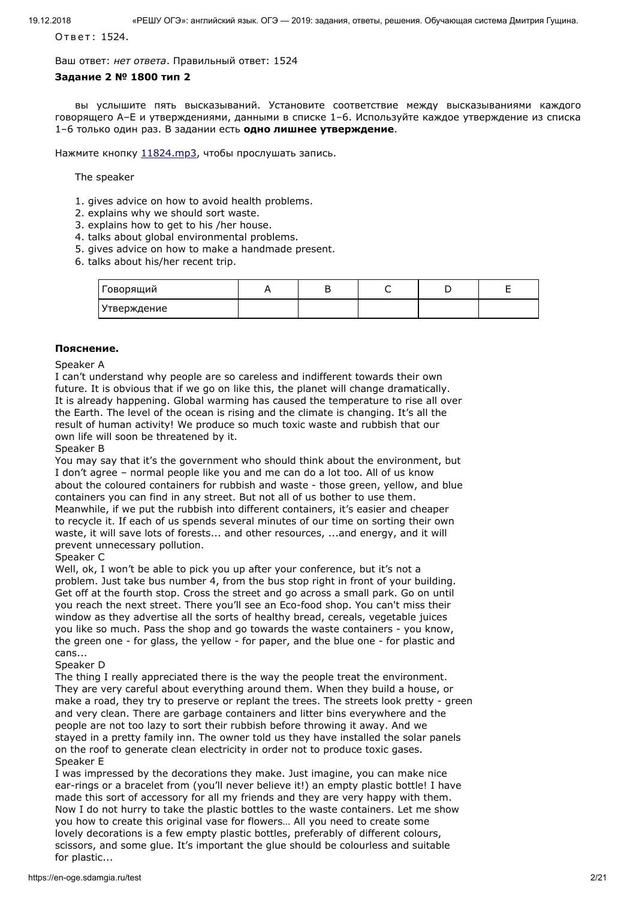Ответ: 1524.

Ваш ответ: *нет ответа*. Правильный ответ: 1524

# **Задание 2 № 1800 тип 2**

вы услышите пять высказываний. Установите соответствие между высказываниями каждого говорящего A–E и утверждениями, данными в списке 1–6. Используйте каждое утверждение из списка 1–6 только один раз. В задании есть **одно лишнее утверждение**.

Нажмите кнопку [11824.mp3,](https://en-oge.sdamgia.ru/files/11824.mp3) чтобы прослушать запись.

The speaker

- 1. gives advice on how to avoid health problems.
- 2. explains why we should sort waste.
- 3. explains how to get to his /her house.
- 4. talks about global environmental problems.
- 5. gives advice on how to make a handmade present.
- 6. talks about his/her recent trip.

| Говорящий   |  |  |  |
|-------------|--|--|--|
| Утверждение |  |  |  |

# **Пояснение.**

Speaker A

I can't understand why people are so careless and indifferent towards their own future. It is obvious that if we go on like this, the planet will change dramatically. It is already happening. Global warming has caused the temperature to rise all over the Earth. The level of the ocean is rising and the climate is changing. It's all the result of human activity! We produce so much toxic waste and rubbish that our own life will soon be threatened by it.

Speaker B

You may say that it's the government who should think about the environment, but I don't agree – normal people like you and me can do a lot too. All of us know about the coloured containers for rubbish and waste - those green, yellow, and blue containers you can find in any street. But not all of us bother to use them. Meanwhile, if we put the rubbish into different containers, it's easier and cheaper to recycle it. If each of us spends several minutes of our time on sorting their own waste, it will save lots of forests... and other resources, ...and energy, and it will prevent unnecessary pollution.

# Speaker C

Well, ok, I won't be able to pick you up after your conference, but it's not a problem. Just take bus number 4, from the bus stop right in front of your building. Get off at the fourth stop. Cross the street and go across a small park. Go on until you reach the next street. There you'll see an Eco-food shop. You can't miss their window as they advertise all the sorts of healthy bread, cereals, vegetable juices you like so much. Pass the shop and go towards the waste containers - you know, the green one - for glass, the yellow - for paper, and the blue one - for plastic and cans...

### Speaker D

The thing I really appreciated there is the way the people treat the environment. They are very careful about everything around them. When they build a house, or make a road, they try to preserve or replant the trees. The streets look pretty - green and very clean. There are garbage containers and litter bins everywhere and the people are not too lazy to sort their rubbish before throwing it away. And we stayed in a pretty family inn. The owner told us they have installed the solar panels on the roof to generate clean electricity in order not to produce toxic gases. Speaker E

I was impressed by the decorations they make. Just imagine, you can make nice ear-rings or a bracelet from (you'll never believe it!) an empty plastic bottle! I have made this sort of accessory for all my friends and they are very happy with them. Now I do not hurry to take the plastic bottles to the waste containers. Let me show you how to create this original vase for flowers… All you need to create some lovely decorations is a few empty plastic bottles, preferably of different colours, scissors, and some glue. It's important the glue should be colourless and suitable for plastic...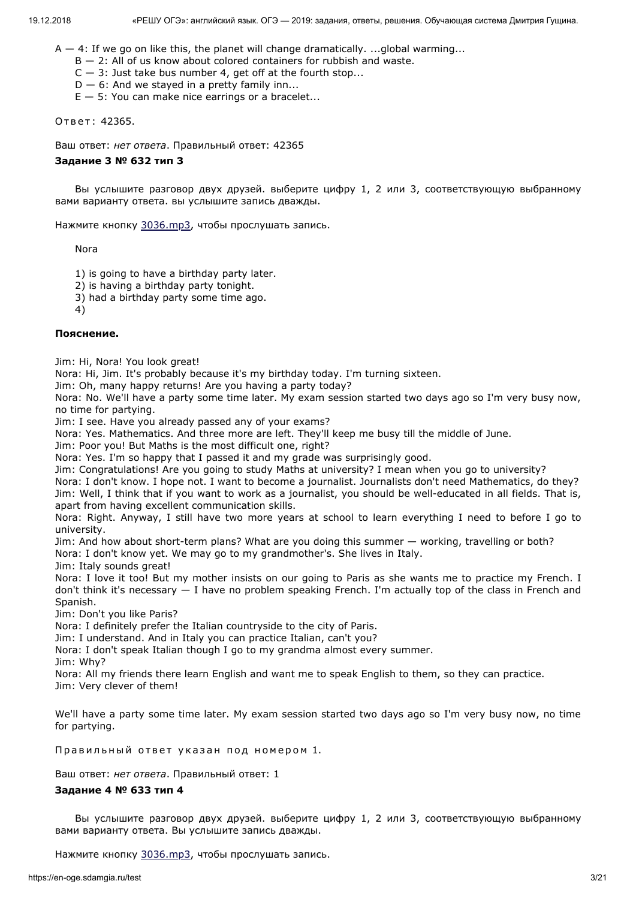$A - 4$ : If we go on like this, the planet will change dramatically. ...global warming...

- $B 2$ : All of us know about colored containers for rubbish and waste.
- $C 3$ : Just take bus number 4, get off at the fourth stop...
- $D 6$ : And we stayed in a pretty family inn...
- $E 5$ : You can make nice earrings or a bracelet...

# Ответ: 42365.

Ваш ответ: *нет ответа*. Правильный ответ: 42365

# **Задание 3 № 632 тип 3**

Вы услышите разговор двух друзей. выберите цифру 1, 2 или 3, соответствующую выбранному вами варианту ответа. вы услышите запись дважды.

Нажмите кнопку [3036.mp3](https://en-oge.sdamgia.ru/files/3036.mp3), чтобы прослушать запись.

Nora

1) is going to have a birthday party later.

- 2) is having a birthday party tonight.
- 3) had a birthday party some time ago.

4)

# **Пояснение.**

Jim: Hi, Nora! You look great!

Nora: Hi, Jim. It's probably because it's my birthday today. I'm turning sixteen.

Jim: Oh, many happy returns! Are you having a party today?

Nora: No. We'll have a party some time later. My exam session started two days ago so I'm very busy now, no time for partying.

Jim: I see. Have you already passed any of your exams?

Nora: Yes. Mathematics. And three more are left. They'll keep me busy till the middle of June.

Jim: Poor you! But Maths is the most difficult one, right?

Nora: Yes. I'm so happy that I passed it and my grade was surprisingly good.

Jim: Congratulations! Are you going to study Maths at university? I mean when you go to university?

Nora: I don't know. I hope not. I want to become a journalist. Journalists don't need Mathematics, do they? Jim: Well, I think that if you want to work as a journalist, you should be well-educated in all fields. That is, apart from having excellent communication skills.

Nora: Right. Anyway, I still have two more years at school to learn everything I need to before I go to university.

Jim: And how about short-term plans? What are you doing this summer — working, travelling or both? Nora: I don't know yet. We may go to my grandmother's. She lives in Italy.

Jim: Italy sounds great!

Nora: I love it too! But my mother insists on our going to Paris as she wants me to practice my French. I don't think it's necessary — I have no problem speaking French. I'm actually top of the class in French and Spanish.

Jim: Don't you like Paris?

Nora: I definitely prefer the Italian countryside to the city of Paris.

Jim: I understand. And in Italy you can practice Italian, can't you?

Nora: I don't speak Italian though I go to my grandma almost every summer.

Jim: Why?

Nora: All my friends there learn English and want me to speak English to them, so they can practice.

Jim: Very clever of them!

We'll have a party some time later. My exam session started two days ago so I'm very busy now, no time for partying.

Правильный ответ указан под номером 1.

Ваш ответ: *нет ответа*. Правильный ответ: 1

# **Задание 4 № 633 тип 4**

Вы услышите разговор двух друзей. выберите цифру 1, 2 или 3, соответствующую выбранному вами варианту ответа. Вы услышите запись дважды.

Нажмите кнопку [3036.mp3](https://en-oge.sdamgia.ru/files/3036.mp3), чтобы прослушать запись.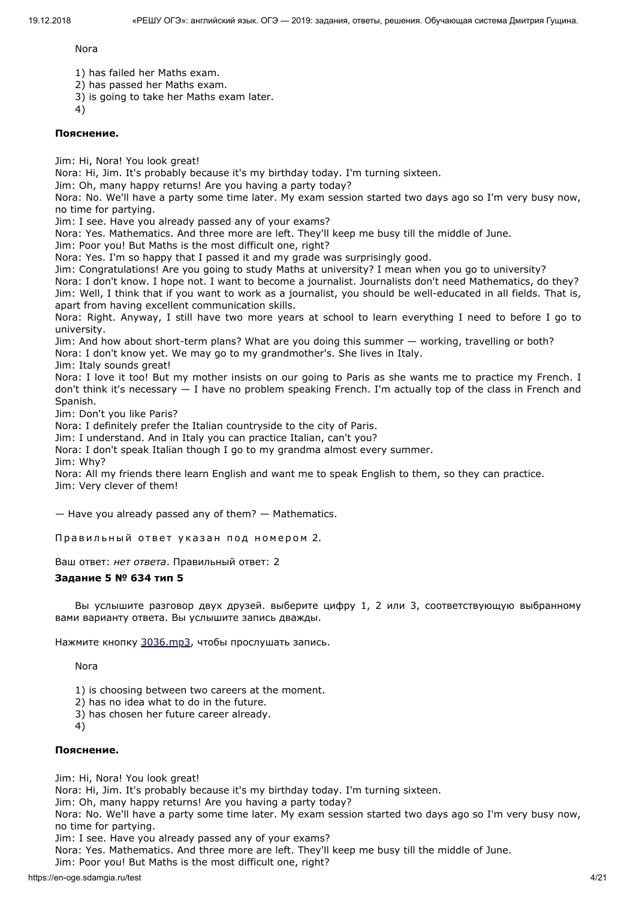#### Nora

- 1) has failed her Maths exam.
- 2) has passed her Maths exam.
- 3) is going to take her Maths exam later.
- 4)

# **Пояснение.**

Jim: Hi, Nora! You look great!

Nora: Hi, Jim. It's probably because it's my birthday today. I'm turning sixteen.

Jim: Oh, many happy returns! Are you having a party today?

Nora: No. We'll have a party some time later. My exam session started two days ago so I'm very busy now, no time for partying.

Jim: I see. Have you already passed any of your exams?

Nora: Yes. Mathematics. And three more are left. They'll keep me busy till the middle of June.

Jim: Poor you! But Maths is the most difficult one, right?

Nora: Yes. I'm so happy that I passed it and my grade was surprisingly good.

Jim: Congratulations! Are you going to study Maths at university? I mean when you go to university?

Nora: I don't know. I hope not. I want to become a journalist. Journalists don't need Mathematics, do they? Jim: Well, I think that if you want to work as a journalist, you should be well-educated in all fields. That is, apart from having excellent communication skills.

Nora: Right. Anyway, I still have two more years at school to learn everything I need to before I go to university.

Jim: And how about short-term plans? What are you doing this summer — working, travelling or both? Nora: I don't know yet. We may go to my grandmother's. She lives in Italy.

Jim: Italy sounds great!

Nora: I love it too! But my mother insists on our going to Paris as she wants me to practice my French. I don't think it's necessary — I have no problem speaking French. I'm actually top of the class in French and Spanish.

Jim: Don't you like Paris?

Nora: I definitely prefer the Italian countryside to the city of Paris.

Jim: I understand. And in Italy you can practice Italian, can't you?

Nora: I don't speak Italian though I go to my grandma almost every summer.

Jim: Why?

Nora: All my friends there learn English and want me to speak English to them, so they can practice. Jim: Very clever of them!

— Have you already passed any of them? — Mathematics.

Правильный ответ указан под номером 2.

Ваш ответ: *нет ответа*. Правильный ответ: 2

# **Задание 5 № 634 тип 5**

Вы услышите разговор двух друзей. выберите цифру 1, 2 или 3, соответствующую выбранному вами варианту ответа. Вы услышите запись дважды.

Нажмите кнопку [3036.mp3](https://en-oge.sdamgia.ru/files/3036.mp3), чтобы прослушать запись.

Nora

- 1) is choosing between two careers at the moment.
- 2) has no idea what to do in the future.
- 3) has chosen her future career already.

4)

### **Пояснение.**

Jim: Hi, Nora! You look great! Nora: Hi, Jim. It's probably because it's my birthday today. I'm turning sixteen. Jim: Oh, many happy returns! Are you having a party today? Nora: No. We'll have a party some time later. My exam session started two days ago so I'm very busy now, no time for partying. Jim: I see. Have you already passed any of your exams? Nora: Yes. Mathematics. And three more are left. They'll keep me busy till the middle of June. Jim: Poor you! But Maths is the most difficult one, right?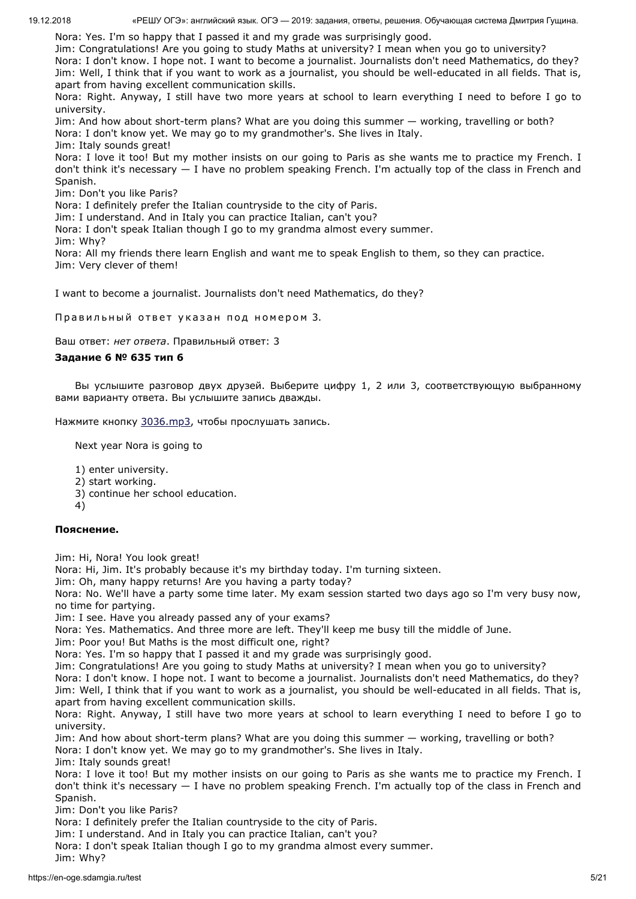Nora: Yes. I'm so happy that I passed it and my grade was surprisingly good.

Jim: Congratulations! Are you going to study Maths at university? I mean when you go to university? Nora: I don't know. I hope not. I want to become a journalist. Journalists don't need Mathematics, do they? Jim: Well, I think that if you want to work as a journalist, you should be well-educated in all fields. That is, apart from having excellent communication skills.

Nora: Right. Anyway, I still have two more years at school to learn everything I need to before I go to university.

Jim: And how about short-term plans? What are you doing this summer — working, travelling or both? Nora: I don't know yet. We may go to my grandmother's. She lives in Italy. Jim: Italy sounds great!

Nora: I love it too! But my mother insists on our going to Paris as she wants me to practice my French. I don't think it's necessary — I have no problem speaking French. I'm actually top of the class in French and Spanish.

Jim: Don't you like Paris?

Nora: I definitely prefer the Italian countryside to the city of Paris.

Jim: I understand. And in Italy you can practice Italian, can't you?

Nora: I don't speak Italian though I go to my grandma almost every summer.

Jim: Why?

Nora: All my friends there learn English and want me to speak English to them, so they can practice. Jim: Very clever of them!

I want to become a journalist. Journalists don't need Mathematics, do they?

Правильный ответ указан под номером 3.

Ваш ответ: *нет ответа*. Правильный ответ: 3

# **Задание 6 № 635 тип 6**

Вы услышите разговор двух друзей. Выберите цифру 1, 2 или 3, соответствующую выбранному вами варианту ответа. Вы услышите запись дважды.

Нажмите кнопку [3036.mp3](https://en-oge.sdamgia.ru/files/3036.mp3), чтобы прослушать запись.

Next year Nora is going to

1) enter university.

2) start working.

3) continue her school education.

4)

# **Пояснение.**

Jim: Hi, Nora! You look great!

Nora: Hi, Jim. It's probably because it's my birthday today. I'm turning sixteen.

Jim: Oh, many happy returns! Are you having a party today?

Nora: No. We'll have a party some time later. My exam session started two days ago so I'm very busy now, no time for partying.

Jim: I see. Have you already passed any of your exams?

Nora: Yes. Mathematics. And three more are left. They'll keep me busy till the middle of June.

Jim: Poor you! But Maths is the most difficult one, right?

Nora: Yes. I'm so happy that I passed it and my grade was surprisingly good.

Jim: Congratulations! Are you going to study Maths at university? I mean when you go to university?

Nora: I don't know. I hope not. I want to become a journalist. Journalists don't need Mathematics, do they? Jim: Well, I think that if you want to work as a journalist, you should be well-educated in all fields. That is, apart from having excellent communication skills.

Nora: Right. Anyway, I still have two more years at school to learn everything I need to before I go to university.

Jim: And how about short-term plans? What are you doing this summer — working, travelling or both? Nora: I don't know yet. We may go to my grandmother's. She lives in Italy.

Jim: Italy sounds great!

Nora: I love it too! But my mother insists on our going to Paris as she wants me to practice my French. I don't think it's necessary — I have no problem speaking French. I'm actually top of the class in French and Spanish.

Jim: Don't you like Paris?

Nora: I definitely prefer the Italian countryside to the city of Paris.

Jim: I understand. And in Italy you can practice Italian, can't you?

Nora: I don't speak Italian though I go to my grandma almost every summer.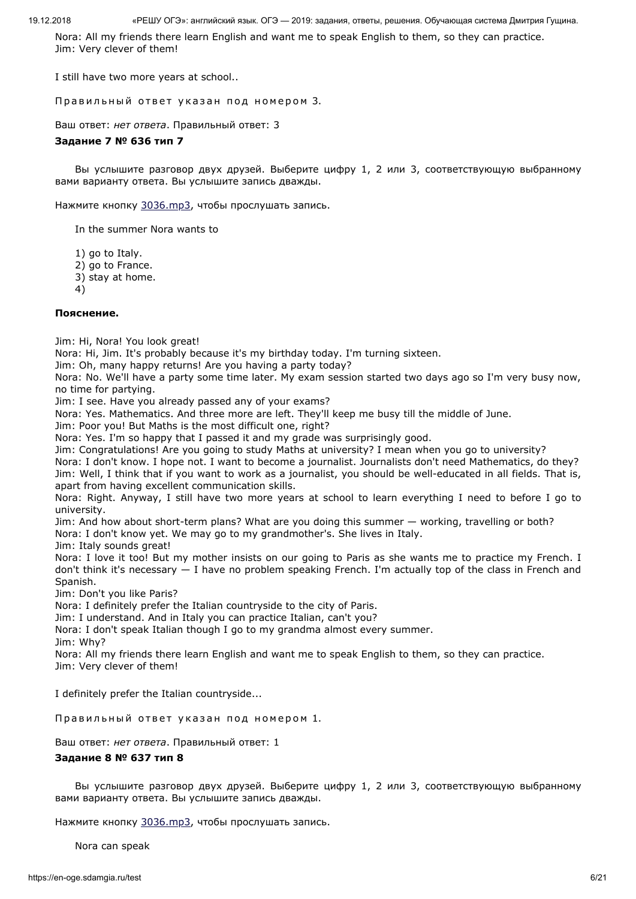Nora: All my friends there learn English and want me to speak English to them, so they can practice. Jim: Very clever of them!

I still have two more years at school..

Правильный ответ указан под номером 3.

Ваш ответ: *нет ответа*. Правильный ответ: 3

# **Задание 7 № 636 тип 7**

Вы услышите разговор двух друзей. Выберите цифру 1, 2 или 3, соответствующую выбранному вами варианту ответа. Вы услышите запись дважды.

Нажмите кнопку [3036.mp3](https://en-oge.sdamgia.ru/files/3036.mp3), чтобы прослушать запись.

In the summer Nora wants to

- 1) go to Italy. 2) go to France.
- 3) stay at home.
- 4)

# **Пояснение.**

Jim: Hi, Nora! You look great!

Nora: Hi, Jim. It's probably because it's my birthday today. I'm turning sixteen.

Jim: Oh, many happy returns! Are you having a party today?

Nora: No. We'll have a party some time later. My exam session started two days ago so I'm very busy now, no time for partying.

Jim: I see. Have you already passed any of your exams?

Nora: Yes. Mathematics. And three more are left. They'll keep me busy till the middle of June.

Jim: Poor you! But Maths is the most difficult one, right?

Nora: Yes. I'm so happy that I passed it and my grade was surprisingly good.

Jim: Congratulations! Are you going to study Maths at university? I mean when you go to university?

Nora: I don't know. I hope not. I want to become a journalist. Journalists don't need Mathematics, do they? Jim: Well, I think that if you want to work as a journalist, you should be well-educated in all fields. That is, apart from having excellent communication skills.

Nora: Right. Anyway, I still have two more years at school to learn everything I need to before I go to university.

Jim: And how about short-term plans? What are you doing this summer — working, travelling or both?

Nora: I don't know yet. We may go to my grandmother's. She lives in Italy.

Jim: Italy sounds great!

Nora: I love it too! But my mother insists on our going to Paris as she wants me to practice my French. I don't think it's necessary — I have no problem speaking French. I'm actually top of the class in French and Spanish.

Jim: Don't you like Paris?

Nora: I definitely prefer the Italian countryside to the city of Paris.

Jim: I understand. And in Italy you can practice Italian, can't you?

Nora: I don't speak Italian though I go to my grandma almost every summer.

Jim: Why?

Nora: All my friends there learn English and want me to speak English to them, so they can practice. Jim: Very clever of them!

I definitely prefer the Italian countryside...

Правильный ответ указан под номером 1.

Ваш ответ: *нет ответа*. Правильный ответ: 1

# **Задание 8 № 637 тип 8**

Вы услышите разговор двух друзей. Выберите цифру 1, 2 или 3, соответствующую выбранному вами варианту ответа. Вы услышите запись дважды.

Нажмите кнопку [3036.mp3](https://en-oge.sdamgia.ru/files/3036.mp3), чтобы прослушать запись.

Nora can speak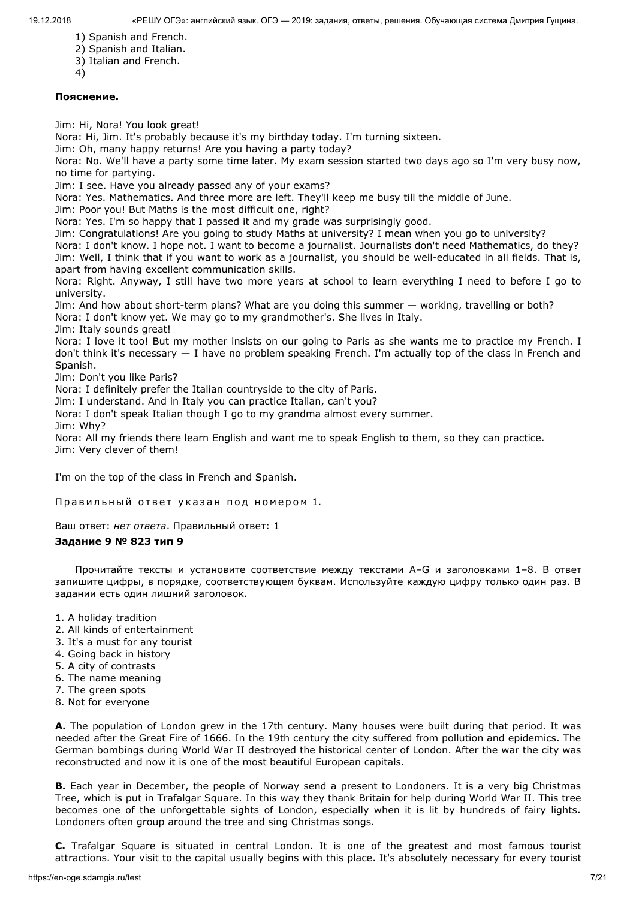- 1) Spanish and French.
- 2) Spanish and Italian.
- 3) Italian and French.
- 4)

Jim: Hi, Nora! You look great!

Nora: Hi, Jim. It's probably because it's my birthday today. I'm turning sixteen.

Jim: Oh, many happy returns! Are you having a party today?

Nora: No. We'll have a party some time later. My exam session started two days ago so I'm very busy now, no time for partying.

Jim: I see. Have you already passed any of your exams?

Nora: Yes. Mathematics. And three more are left. They'll keep me busy till the middle of June.

Jim: Poor you! But Maths is the most difficult one, right?

Nora: Yes. I'm so happy that I passed it and my grade was surprisingly good.

Jim: Congratulations! Are you going to study Maths at university? I mean when you go to university? Nora: I don't know. I hope not. I want to become a journalist. Journalists don't need Mathematics, do they? Jim: Well, I think that if you want to work as a journalist, you should be well-educated in all fields. That is, apart from having excellent communication skills.

Nora: Right. Anyway, I still have two more years at school to learn everything I need to before I go to university.

Jim: And how about short-term plans? What are you doing this summer — working, travelling or both? Nora: I don't know yet. We may go to my grandmother's. She lives in Italy.

Jim: Italy sounds great!

Nora: I love it too! But my mother insists on our going to Paris as she wants me to practice my French. I don't think it's necessary — I have no problem speaking French. I'm actually top of the class in French and Spanish.

Jim: Don't you like Paris?

Nora: I definitely prefer the Italian countryside to the city of Paris.

Jim: I understand. And in Italy you can practice Italian, can't you?

Nora: I don't speak Italian though I go to my grandma almost every summer.

Jim: Why?

Nora: All my friends there learn English and want me to speak English to them, so they can practice. Jim: Very clever of them!

I'm on the top of the class in French and Spanish.

Правильный ответ указан под номером 1.

Ваш ответ: *нет ответа*. Правильный ответ: 1

# **Задание 9 № 823 тип 9**

Прочитайте тексты и установите соответствие между текстами А–G и заголовками 1–8. В ответ запишите цифры, в порядке, соответствующем буквам. Используйте каждую цифру только один раз. В задании есть один лишний заголовок.

- 1. A holiday tradition
- 2. All kinds of entertainment
- 3. It's a must for any tourist
- 4. Going back in history
- 5. A city of contrasts
- 6. The name meaning
- 7. The green spots
- 8. Not for everyone

**A.** The population of London grew in the 17th century. Many houses were built during that period. It was needed after the Great Fire of 1666. In the 19th century the city suffered from pollution and epidemics. The German bombings during World War II destroyed the historical center of London. After the war the city was reconstructed and now it is one of the most beautiful European capitals.

**B.** Each year in December, the people of Norway send a present to Londoners. It is a very big Christmas Tree, which is put in Trafalgar Square. In this way they thank Britain for help during World War II. This tree becomes one of the unforgettable sights of London, especially when it is lit by hundreds of fairy lights. Londoners often group around the tree and sing Christmas songs.

**C.** Trafalgar Square is situated in central London. It is one of the greatest and most famous tourist attractions. Your visit to the capital usually begins with this place. It's absolutely necessary for every tourist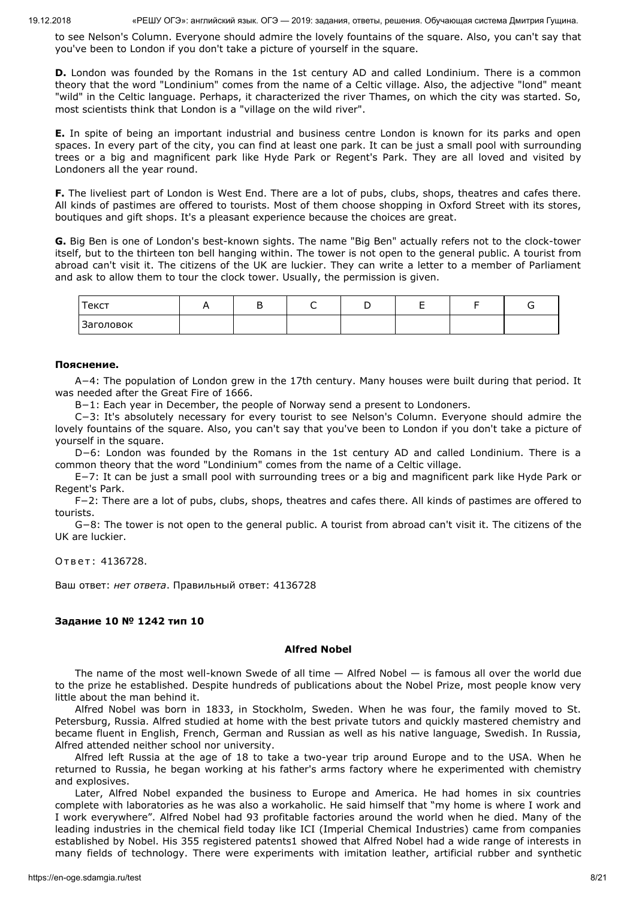to see Nelson's Column. Everyone should admire the lovely fountains of the square. Also, you can't say that you've been to London if you don't take a picture of yourself in the square.

**D.** London was founded by the Romans in the 1st century AD and called Londinium. There is a common theory that the word "Londinium" comes from the name of a Celtic village. Also, the adjective "lond" meant "wild" in the Celtic language. Perhaps, it characterized the river Thames, on which the city was started. So, most scientists think that London is a "village on the wild river".

**E.** In spite of being an important industrial and business centre London is known for its parks and open spaces. In every part of the city, you can find at least one park. It can be just a small pool with surrounding trees or a big and magnificent park like Hyde Park or Regent's Park. They are all loved and visited by Londoners all the year round.

**F.** The liveliest part of London is West End. There are a lot of pubs, clubs, shops, theatres and cafes there. All kinds of pastimes are offered to tourists. Most of them choose shopping in Oxford Street with its stores, boutiques and gift shops. It's a pleasant experience because the choices are great.

**G.** Big Ben is one of London's best-known sights. The name "Big Ben" actually refers not to the clock-tower itself, but to the thirteen ton bell hanging within. The tower is not open to the general public. A tourist from abroad can't visit it. The citizens of the UK are luckier. They can write a letter to a member of Parliament and ask to allow them to tour the clock tower. Usually, the permission is given.

| Текст            |  |  |  |  |
|------------------|--|--|--|--|
| <b>Заголовок</b> |  |  |  |  |

# **Пояснение.**

A−4: The population of London grew in the 17th century. Many houses were built during that period. It was needed after the Great Fire of 1666.

B−1: Each year in December, the people of Norway send a present to Londoners.

C−3: It's absolutely necessary for every tourist to see Nelson's Column. Everyone should admire the lovely fountains of the square. Also, you can't say that you've been to London if you don't take a picture of yourself in the square.

D−6: London was founded by the Romans in the 1st century AD and called Londinium. There is a common theory that the word "Londinium" comes from the name of a Celtic village.

E−7: It can be just a small pool with surrounding trees or a big and magnificent park like Hyde Park or Regent's Park.

F−2: There are a lot of pubs, clubs, shops, theatres and cafes there. All kinds of pastimes are offered to tourists.

G−8: The tower is not open to the general public. A tourist from abroad can't visit it. The citizens of the UK are luckier.

Ответ: 4136728.

Ваш ответ: *нет ответа*. Правильный ответ: 4136728

# **Задание 10 № 1242 тип 10**

# **Alfred Nobel**

The name of the most well-known Swede of all time — Alfred Nobel — is famous all over the world due to the prize he established. Despite hundreds of publications about the Nobel Prize, most people know very little about the man behind it.

Alfred Nobel was born in 1833, in Stockholm, Sweden. When he was four, the family moved to St. Petersburg, Russia. Alfred studied at home with the best private tutors and quickly mastered chemistry and became fluent in English, French, German and Russian as well as his native language, Swedish. In Russia, Alfred attended neither school nor university.

Alfred left Russia at the age of 18 to take a two-year trip around Europe and to the USA. When he returned to Russia, he began working at his father's arms factory where he experimented with chemistry and explosives.

Later, Alfred Nobel expanded the business to Europe and America. He had homes in six countries complete with laboratories as he was also a workaholic. He said himself that "my home is where I work and I work everywhere". Alfred Nobel had 93 profitable factories around the world when he died. Many of the leading industries in the chemical field today like ICI (Imperial Chemical Industries) came from companies established by Nobel. His 355 registered patents1 showed that Alfred Nobel had a wide range of interests in many fields of technology. There were experiments with imitation leather, artificial rubber and synthetic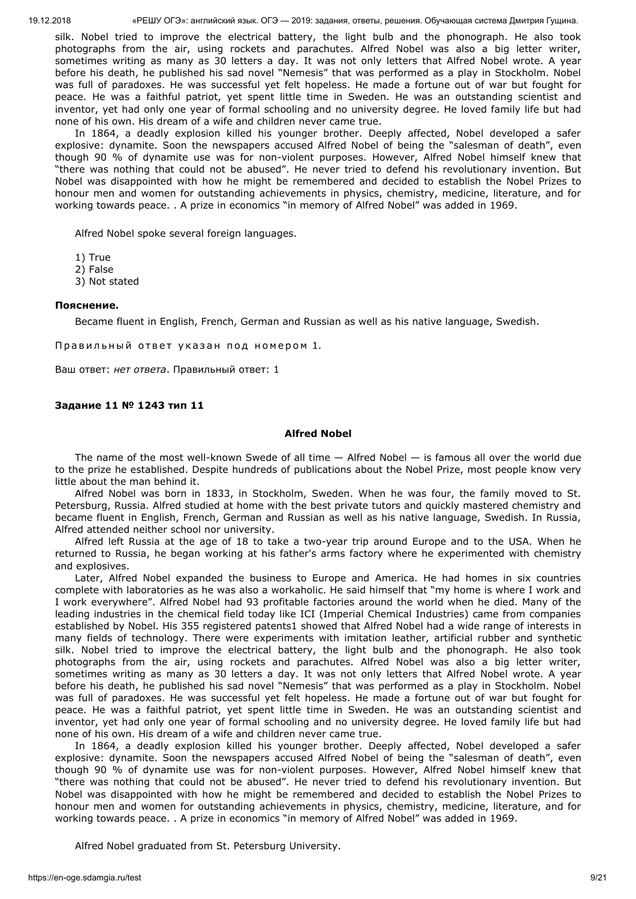silk. Nobel tried to improve the electrical battery, the light bulb and the phonograph. He also took photographs from the air, using rockets and parachutes. Alfred Nobel was also a big letter writer, sometimes writing as many as 30 letters a day. It was not only letters that Alfred Nobel wrote. A year before his death, he published his sad novel "Nemesis" that was performed as a play in Stockholm. Nobel was full of paradoxes. He was successful yet felt hopeless. He made a fortune out of war but fought for peace. He was a faithful patriot, yet spent little time in Sweden. He was an outstanding scientist and inventor, yet had only one year of formal schooling and no university degree. He loved family life but had none of his own. His dream of a wife and children never came true.

In 1864, a deadly explosion killed his younger brother. Deeply affected, Nobel developed a safer explosive: dynamite. Soon the newspapers accused Alfred Nobel of being the "salesman of death", even though 90 % of dynamite use was for non-violent purposes. However, Alfred Nobel himself knew that "there was nothing that could not be abused". He never tried to defend his revolutionary invention. But Nobel was disappointed with how he might be remembered and decided to establish the Nobel Prizes to honour men and women for outstanding achievements in physics, chemistry, medicine, literature, and for working towards peace. . A prize in economics "in memory of Alfred Nobel" was added in 1969.

Alfred Nobel spoke several foreign languages.

1) True

2) False

3) Not stated

### **Пояснение.**

Became fluent in English, French, German and Russian as well as his native language, Swedish.

Правильный ответ указан под номером 1.

Ваш ответ: *нет ответа*. Правильный ответ: 1

# **Задание 11 № 1243 тип 11**

#### **Alfred Nobel**

The name of the most well-known Swede of all time — Alfred Nobel — is famous all over the world due to the prize he established. Despite hundreds of publications about the Nobel Prize, most people know very little about the man behind it.

Alfred Nobel was born in 1833, in Stockholm, Sweden. When he was four, the family moved to St. Petersburg, Russia. Alfred studied at home with the best private tutors and quickly mastered chemistry and became fluent in English, French, German and Russian as well as his native language, Swedish. In Russia, Alfred attended neither school nor university.

Alfred left Russia at the age of 18 to take a two-year trip around Europe and to the USA. When he returned to Russia, he began working at his father's arms factory where he experimented with chemistry and explosives.

Later, Alfred Nobel expanded the business to Europe and America. He had homes in six countries complete with laboratories as he was also a workaholic. He said himself that "my home is where I work and I work everywhere". Alfred Nobel had 93 profitable factories around the world when he died. Many of the leading industries in the chemical field today like ICI (Imperial Chemical Industries) came from companies established by Nobel. His 355 registered patents1 showed that Alfred Nobel had a wide range of interests in many fields of technology. There were experiments with imitation leather, artificial rubber and synthetic silk. Nobel tried to improve the electrical battery, the light bulb and the phonograph. He also took photographs from the air, using rockets and parachutes. Alfred Nobel was also a big letter writer, sometimes writing as many as 30 letters a day. It was not only letters that Alfred Nobel wrote. A year before his death, he published his sad novel "Nemesis" that was performed as a play in Stockholm. Nobel was full of paradoxes. He was successful yet felt hopeless. He made a fortune out of war but fought for peace. He was a faithful patriot, yet spent little time in Sweden. He was an outstanding scientist and inventor, yet had only one year of formal schooling and no university degree. He loved family life but had none of his own. His dream of a wife and children never came true.

In 1864, a deadly explosion killed his younger brother. Deeply affected, Nobel developed a safer explosive: dynamite. Soon the newspapers accused Alfred Nobel of being the "salesman of death", even though 90 % of dynamite use was for non-violent purposes. However, Alfred Nobel himself knew that "there was nothing that could not be abused". He never tried to defend his revolutionary invention. But Nobel was disappointed with how he might be remembered and decided to establish the Nobel Prizes to honour men and women for outstanding achievements in physics, chemistry, medicine, literature, and for working towards peace. . A prize in economics "in memory of Alfred Nobel" was added in 1969.

Alfred Nobel graduated from St. Petersburg University.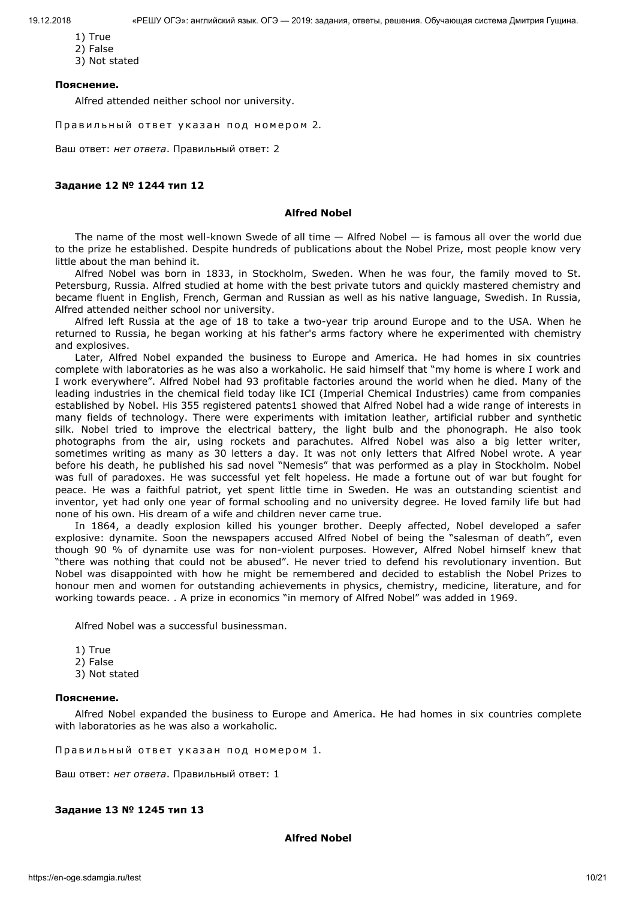- 1) True
- 2) False
- 3) Not stated

Alfred attended neither school nor university.

Правильный ответ указан под номером 2.

Ваш ответ: *нет ответа*. Правильный ответ: 2

# **Задание 12 № 1244 тип 12**

#### **Alfred Nobel**

The name of the most well-known Swede of all time  $-$  Alfred Nobel  $-$  is famous all over the world due to the prize he established. Despite hundreds of publications about the Nobel Prize, most people know very little about the man behind it.

Alfred Nobel was born in 1833, in Stockholm, Sweden. When he was four, the family moved to St. Petersburg, Russia. Alfred studied at home with the best private tutors and quickly mastered chemistry and became fluent in English, French, German and Russian as well as his native language, Swedish. In Russia, Alfred attended neither school nor university.

Alfred left Russia at the age of 18 to take a two-year trip around Europe and to the USA. When he returned to Russia, he began working at his father's arms factory where he experimented with chemistry and explosives.

Later, Alfred Nobel expanded the business to Europe and America. He had homes in six countries complete with laboratories as he was also a workaholic. He said himself that "my home is where I work and I work everywhere". Alfred Nobel had 93 profitable factories around the world when he died. Many of the leading industries in the chemical field today like ICI (Imperial Chemical Industries) came from companies established by Nobel. His 355 registered patents1 showed that Alfred Nobel had a wide range of interests in many fields of technology. There were experiments with imitation leather, artificial rubber and synthetic silk. Nobel tried to improve the electrical battery, the light bulb and the phonograph. He also took photographs from the air, using rockets and parachutes. Alfred Nobel was also a big letter writer, sometimes writing as many as 30 letters a day. It was not only letters that Alfred Nobel wrote. A year before his death, he published his sad novel "Nemesis" that was performed as a play in Stockholm. Nobel was full of paradoxes. He was successful yet felt hopeless. He made a fortune out of war but fought for peace. He was a faithful patriot, yet spent little time in Sweden. He was an outstanding scientist and inventor, yet had only one year of formal schooling and no university degree. He loved family life but had none of his own. His dream of a wife and children never came true.

In 1864, a deadly explosion killed his younger brother. Deeply affected, Nobel developed a safer explosive: dynamite. Soon the newspapers accused Alfred Nobel of being the "salesman of death", even though 90 % of dynamite use was for non-violent purposes. However, Alfred Nobel himself knew that "there was nothing that could not be abused". He never tried to defend his revolutionary invention. But Nobel was disappointed with how he might be remembered and decided to establish the Nobel Prizes to honour men and women for outstanding achievements in physics, chemistry, medicine, literature, and for working towards peace. . A prize in economics "in memory of Alfred Nobel" was added in 1969.

Alfred Nobel was a successful businessman.

- 1) True
- 2) False

3) Not stated

# **Пояснение.**

Alfred Nobel expanded the business to Europe and America. He had homes in six countries complete with laboratories as he was also a workaholic.

Правильный ответ указан под номером 1.

Ваш ответ: *нет ответа*. Правильный ответ: 1

## **Задание 13 № 1245 тип 13**

# **Alfred Nobel**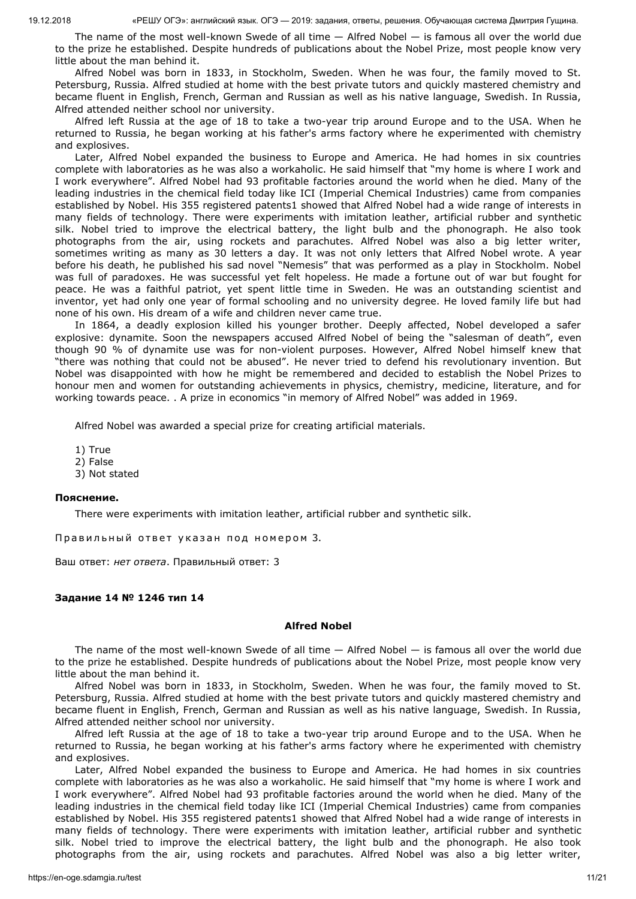The name of the most well-known Swede of all time — Alfred Nobel — is famous all over the world due to the prize he established. Despite hundreds of publications about the Nobel Prize, most people know very little about the man behind it.

Alfred Nobel was born in 1833, in Stockholm, Sweden. When he was four, the family moved to St. Petersburg, Russia. Alfred studied at home with the best private tutors and quickly mastered chemistry and became fluent in English, French, German and Russian as well as his native language, Swedish. In Russia, Alfred attended neither school nor university.

Alfred left Russia at the age of 18 to take a two-year trip around Europe and to the USA. When he returned to Russia, he began working at his father's arms factory where he experimented with chemistry and explosives.

Later, Alfred Nobel expanded the business to Europe and America. He had homes in six countries complete with laboratories as he was also a workaholic. He said himself that "my home is where I work and I work everywhere". Alfred Nobel had 93 profitable factories around the world when he died. Many of the leading industries in the chemical field today like ICI (Imperial Chemical Industries) came from companies established by Nobel. His 355 registered patents1 showed that Alfred Nobel had a wide range of interests in many fields of technology. There were experiments with imitation leather, artificial rubber and synthetic silk. Nobel tried to improve the electrical battery, the light bulb and the phonograph. He also took photographs from the air, using rockets and parachutes. Alfred Nobel was also a big letter writer, sometimes writing as many as 30 letters a day. It was not only letters that Alfred Nobel wrote. A year before his death, he published his sad novel "Nemesis" that was performed as a play in Stockholm. Nobel was full of paradoxes. He was successful yet felt hopeless. He made a fortune out of war but fought for peace. He was a faithful patriot, yet spent little time in Sweden. He was an outstanding scientist and inventor, yet had only one year of formal schooling and no university degree. He loved family life but had none of his own. His dream of a wife and children never came true.

In 1864, a deadly explosion killed his younger brother. Deeply affected, Nobel developed a safer explosive: dynamite. Soon the newspapers accused Alfred Nobel of being the "salesman of death", even though 90 % of dynamite use was for non-violent purposes. However, Alfred Nobel himself knew that "there was nothing that could not be abused". He never tried to defend his revolutionary invention. But Nobel was disappointed with how he might be remembered and decided to establish the Nobel Prizes to honour men and women for outstanding achievements in physics, chemistry, medicine, literature, and for working towards peace. . A prize in economics "in memory of Alfred Nobel" was added in 1969.

Alfred Nobel was awarded a special prize for creating artificial materials.

1) True

- 2) False
- 3) Not stated

#### **Пояснение.**

There were experiments with imitation leather, artificial rubber and synthetic silk.

Правильный ответ указан под номером 3.

Ваш ответ: *нет ответа*. Правильный ответ: 3

### **Задание 14 № 1246 тип 14**

### **Alfred Nobel**

The name of the most well-known Swede of all time  $-$  Alfred Nobel  $-$  is famous all over the world due to the prize he established. Despite hundreds of publications about the Nobel Prize, most people know very little about the man behind it.

Alfred Nobel was born in 1833, in Stockholm, Sweden. When he was four, the family moved to St. Petersburg, Russia. Alfred studied at home with the best private tutors and quickly mastered chemistry and became fluent in English, French, German and Russian as well as his native language, Swedish. In Russia, Alfred attended neither school nor university.

Alfred left Russia at the age of 18 to take a two-year trip around Europe and to the USA. When he returned to Russia, he began working at his father's arms factory where he experimented with chemistry and explosives.

Later, Alfred Nobel expanded the business to Europe and America. He had homes in six countries complete with laboratories as he was also a workaholic. He said himself that "my home is where I work and I work everywhere". Alfred Nobel had 93 profitable factories around the world when he died. Many of the leading industries in the chemical field today like ICI (Imperial Chemical Industries) came from companies established by Nobel. His 355 registered patents1 showed that Alfred Nobel had a wide range of interests in many fields of technology. There were experiments with imitation leather, artificial rubber and synthetic silk. Nobel tried to improve the electrical battery, the light bulb and the phonograph. He also took photographs from the air, using rockets and parachutes. Alfred Nobel was also a big letter writer,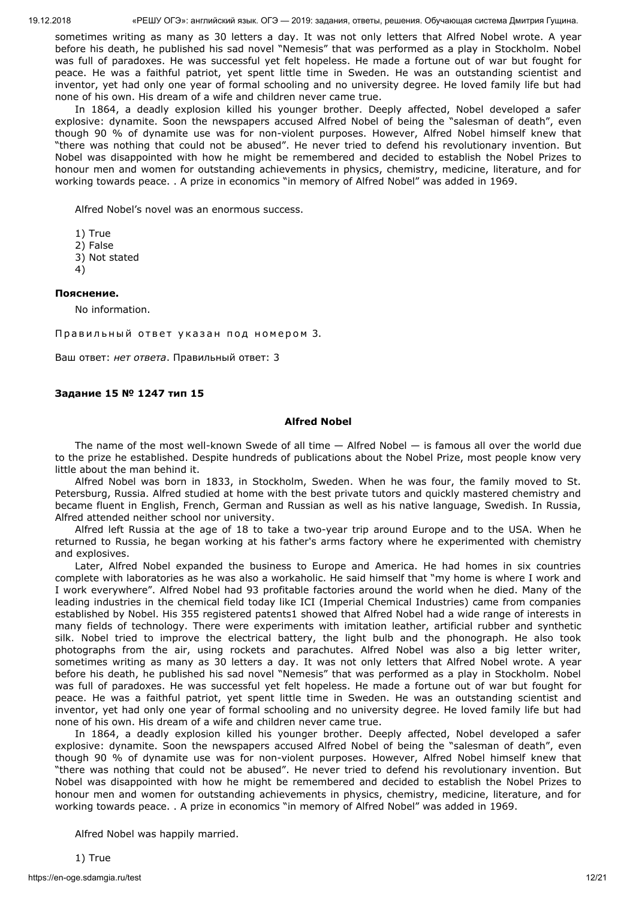sometimes writing as many as 30 letters a day. It was not only letters that Alfred Nobel wrote. A year before his death, he published his sad novel "Nemesis" that was performed as a play in Stockholm. Nobel was full of paradoxes. He was successful yet felt hopeless. He made a fortune out of war but fought for peace. He was a faithful patriot, yet spent little time in Sweden. He was an outstanding scientist and inventor, yet had only one year of formal schooling and no university degree. He loved family life but had none of his own. His dream of a wife and children never came true.

In 1864, a deadly explosion killed his younger brother. Deeply affected, Nobel developed a safer explosive: dynamite. Soon the newspapers accused Alfred Nobel of being the "salesman of death", even though 90 % of dynamite use was for non-violent purposes. However, Alfred Nobel himself knew that "there was nothing that could not be abused". He never tried to defend his revolutionary invention. But Nobel was disappointed with how he might be remembered and decided to establish the Nobel Prizes to honour men and women for outstanding achievements in physics, chemistry, medicine, literature, and for working towards peace. . A prize in economics "in memory of Alfred Nobel" was added in 1969.

Alfred Nobel's novel was an enormous success.

1) True 2) False

3) Not stated

4)

**Пояснение.**

No information.

Правильный ответ указан под номером 3.

Ваш ответ: *нет ответа*. Правильный ответ: 3

# **Задание 15 № 1247 тип 15**

### **Alfred Nobel**

The name of the most well-known Swede of all time — Alfred Nobel — is famous all over the world due to the prize he established. Despite hundreds of publications about the Nobel Prize, most people know very little about the man behind it.

Alfred Nobel was born in 1833, in Stockholm, Sweden. When he was four, the family moved to St. Petersburg, Russia. Alfred studied at home with the best private tutors and quickly mastered chemistry and became fluent in English, French, German and Russian as well as his native language, Swedish. In Russia, Alfred attended neither school nor university.

Alfred left Russia at the age of 18 to take a two-year trip around Europe and to the USA. When he returned to Russia, he began working at his father's arms factory where he experimented with chemistry and explosives.

Later, Alfred Nobel expanded the business to Europe and America. He had homes in six countries complete with laboratories as he was also a workaholic. He said himself that "my home is where I work and I work everywhere". Alfred Nobel had 93 profitable factories around the world when he died. Many of the leading industries in the chemical field today like ICI (Imperial Chemical Industries) came from companies established by Nobel. His 355 registered patents1 showed that Alfred Nobel had a wide range of interests in many fields of technology. There were experiments with imitation leather, artificial rubber and synthetic silk. Nobel tried to improve the electrical battery, the light bulb and the phonograph. He also took photographs from the air, using rockets and parachutes. Alfred Nobel was also a big letter writer, sometimes writing as many as 30 letters a day. It was not only letters that Alfred Nobel wrote. A year before his death, he published his sad novel "Nemesis" that was performed as a play in Stockholm. Nobel was full of paradoxes. He was successful yet felt hopeless. He made a fortune out of war but fought for peace. He was a faithful patriot, yet spent little time in Sweden. He was an outstanding scientist and inventor, yet had only one year of formal schooling and no university degree. He loved family life but had none of his own. His dream of a wife and children never came true.

In 1864, a deadly explosion killed his younger brother. Deeply affected, Nobel developed a safer explosive: dynamite. Soon the newspapers accused Alfred Nobel of being the "salesman of death", even though 90 % of dynamite use was for non-violent purposes. However, Alfred Nobel himself knew that "there was nothing that could not be abused". He never tried to defend his revolutionary invention. But Nobel was disappointed with how he might be remembered and decided to establish the Nobel Prizes to honour men and women for outstanding achievements in physics, chemistry, medicine, literature, and for working towards peace. . A prize in economics "in memory of Alfred Nobel" was added in 1969.

Alfred Nobel was happily married.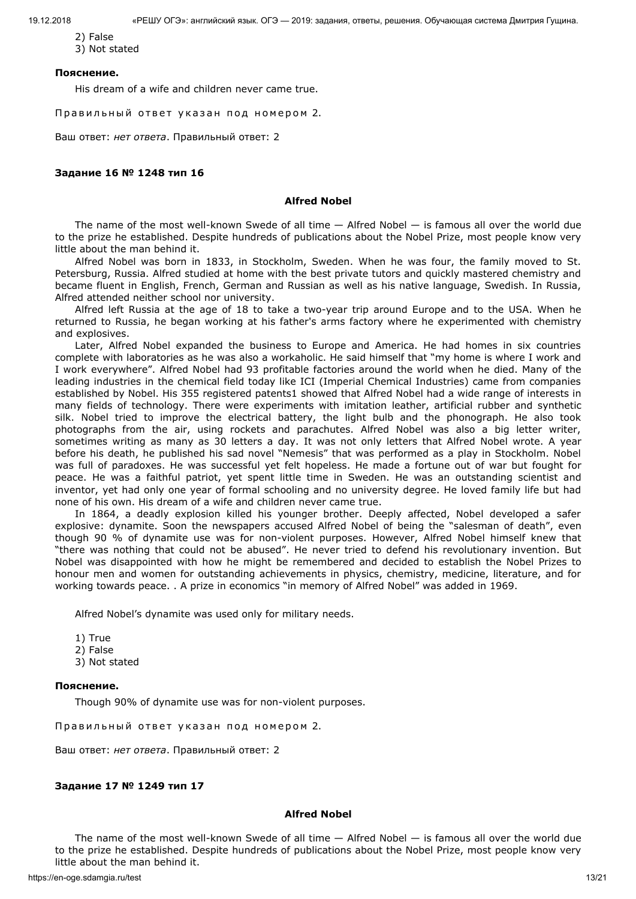2) False

3) Not stated

#### **Пояснение.**

His dream of a wife and children never came true.

Правильный ответ указан под номером 2.

Ваш ответ: *нет ответа*. Правильный ответ: 2

#### **Задание 16 № 1248 тип 16**

### **Alfred Nobel**

The name of the most well-known Swede of all time — Alfred Nobel — is famous all over the world due to the prize he established. Despite hundreds of publications about the Nobel Prize, most people know very little about the man behind it.

Alfred Nobel was born in 1833, in Stockholm, Sweden. When he was four, the family moved to St. Petersburg, Russia. Alfred studied at home with the best private tutors and quickly mastered chemistry and became fluent in English, French, German and Russian as well as his native language, Swedish. In Russia, Alfred attended neither school nor university.

Alfred left Russia at the age of 18 to take a two-year trip around Europe and to the USA. When he returned to Russia, he began working at his father's arms factory where he experimented with chemistry and explosives.

Later, Alfred Nobel expanded the business to Europe and America. He had homes in six countries complete with laboratories as he was also a workaholic. He said himself that "my home is where I work and I work everywhere". Alfred Nobel had 93 profitable factories around the world when he died. Many of the leading industries in the chemical field today like ICI (Imperial Chemical Industries) came from companies established by Nobel. His 355 registered patents1 showed that Alfred Nobel had a wide range of interests in many fields of technology. There were experiments with imitation leather, artificial rubber and synthetic silk. Nobel tried to improve the electrical battery, the light bulb and the phonograph. He also took photographs from the air, using rockets and parachutes. Alfred Nobel was also a big letter writer, sometimes writing as many as 30 letters a day. It was not only letters that Alfred Nobel wrote. A year before his death, he published his sad novel "Nemesis" that was performed as a play in Stockholm. Nobel was full of paradoxes. He was successful yet felt hopeless. He made a fortune out of war but fought for peace. He was a faithful patriot, yet spent little time in Sweden. He was an outstanding scientist and inventor, yet had only one year of formal schooling and no university degree. He loved family life but had none of his own. His dream of a wife and children never came true.

In 1864, a deadly explosion killed his younger brother. Deeply affected, Nobel developed a safer explosive: dynamite. Soon the newspapers accused Alfred Nobel of being the "salesman of death", even though 90 % of dynamite use was for non-violent purposes. However, Alfred Nobel himself knew that "there was nothing that could not be abused". He never tried to defend his revolutionary invention. But Nobel was disappointed with how he might be remembered and decided to establish the Nobel Prizes to honour men and women for outstanding achievements in physics, chemistry, medicine, literature, and for working towards peace. . A prize in economics "in memory of Alfred Nobel" was added in 1969.

Alfred Nobel's dynamite was used only for military needs.

- 1) True
- 2) False
- 3) Not stated

### **Пояснение.**

Though 90% of dynamite use was for non-violent purposes.

Правильный ответ указан под номером 2.

Ваш ответ: *нет ответа*. Правильный ответ: 2

### **Задание 17 № 1249 тип 17**

# **Alfred Nobel**

The name of the most well-known Swede of all time — Alfred Nobel — is famous all over the world due to the prize he established. Despite hundreds of publications about the Nobel Prize, most people know very little about the man behind it.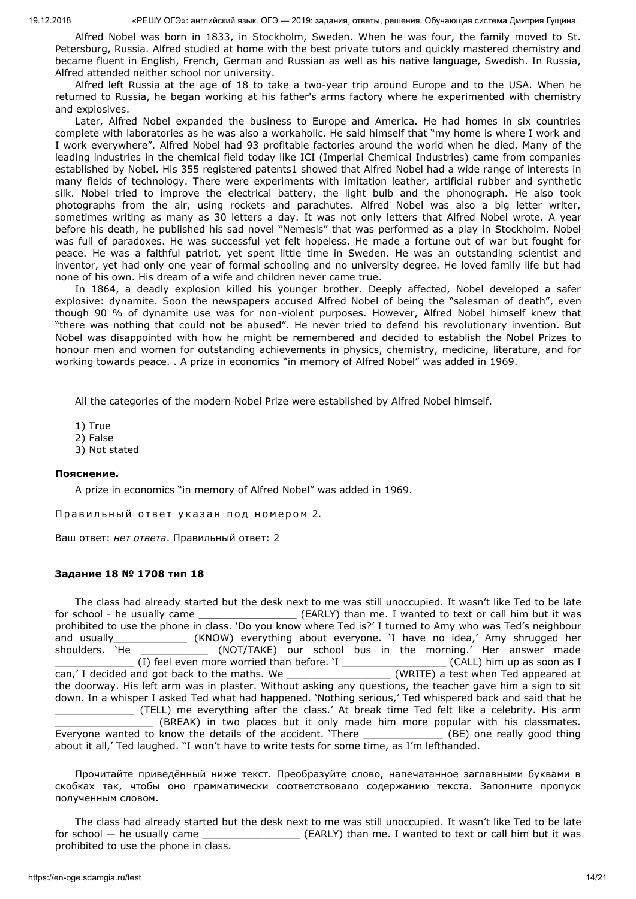Alfred Nobel was born in 1833, in Stockholm, Sweden. When he was four, the family moved to St. Petersburg, Russia. Alfred studied at home with the best private tutors and quickly mastered chemistry and became fluent in English, French, German and Russian as well as his native language, Swedish. In Russia, Alfred attended neither school nor university.

Alfred left Russia at the age of 18 to take a two-year trip around Europe and to the USA. When he returned to Russia, he began working at his father's arms factory where he experimented with chemistry and explosives.

Later, Alfred Nobel expanded the business to Europe and America. He had homes in six countries complete with laboratories as he was also a workaholic. He said himself that "my home is where I work and I work everywhere". Alfred Nobel had 93 profitable factories around the world when he died. Many of the leading industries in the chemical field today like ICI (Imperial Chemical Industries) came from companies established by Nobel. His 355 registered patents1 showed that Alfred Nobel had a wide range of interests in many fields of technology. There were experiments with imitation leather, artificial rubber and synthetic silk. Nobel tried to improve the electrical battery, the light bulb and the phonograph. He also took photographs from the air, using rockets and parachutes. Alfred Nobel was also a big letter writer, sometimes writing as many as 30 letters a day. It was not only letters that Alfred Nobel wrote. A year before his death, he published his sad novel "Nemesis" that was performed as a play in Stockholm. Nobel was full of paradoxes. He was successful yet felt hopeless. He made a fortune out of war but fought for peace. He was a faithful patriot, yet spent little time in Sweden. He was an outstanding scientist and inventor, yet had only one year of formal schooling and no university degree. He loved family life but had none of his own. His dream of a wife and children never came true.

In 1864, a deadly explosion killed his younger brother. Deeply affected, Nobel developed a safer explosive: dynamite. Soon the newspapers accused Alfred Nobel of being the "salesman of death", even though 90 % of dynamite use was for non-violent purposes. However, Alfred Nobel himself knew that "there was nothing that could not be abused". He never tried to defend his revolutionary invention. But Nobel was disappointed with how he might be remembered and decided to establish the Nobel Prizes to honour men and women for outstanding achievements in physics, chemistry, medicine, literature, and for working towards peace. . A prize in economics "in memory of Alfred Nobel" was added in 1969.

All the categories of the modern Nobel Prize were established by Alfred Nobel himself.

1) True 2) False 3) Not stated

## **Пояснение.**

A prize in economics "in memory of Alfred Nobel" was added in 1969.

Правильный ответ указан под номером 2.

Ваш ответ: *нет ответа*. Правильный ответ: 2

### **Задание 18 № 1708 тип 18**

The class had already started but the desk next to me was still unoccupied. It wasn't like Ted to be late for school - he usually came exactled the school - he usually came are more (EARLY) than me. I wanted to text or call him but it was prohibited to use the phone in class. 'Do you know where Ted is?' I turned to Amy who was Ted's neighbour and usually (KNOW) everything about everyone. 'I have no idea,' Amy shrugged her shoulders. 'He \_\_\_\_\_\_\_\_\_\_\_ (NOT/TAKE) our school bus in the morning.' Her answer made  $(1)$  feel even more worried than before. 'I  $\blacksquare$   $(CALL)$  him up as soon as I can,' I decided and got back to the maths. We example a set when Ted appeared at the doorway. His left arm was in plaster. Without asking any questions, the teacher gave him a sign to sit down. In a whisper I asked Ted what had happened. 'Nothing serious,' Ted whispered back and said that he \_\_\_\_\_\_\_\_\_\_\_\_\_ (TELL) me everything after the class.' At break time Ted felt like a celebrity. His arm (BREAK) in two places but it only made him more popular with his classmates. Everyone wanted to know the details of the accident. 'There  $(BE)$  one really good thing about it all,' Ted laughed. "I won't have to write tests for some time, as I'm lefthanded.

Прочитайте приведённый ниже текст. Преобразуйте слово, напечатанное заглавными буквами в скобках так, чтобы оно грамматически соответствовало содержанию текста. Заполните пропуск полученным словом.

The class had already started but the desk next to me was still unoccupied. It wasn't like Ted to be late for school — he usually came \_\_\_\_\_\_\_\_\_\_\_\_\_\_\_\_ (EARLY) than me. I wanted to text or call him but it was prohibited to use the phone in class.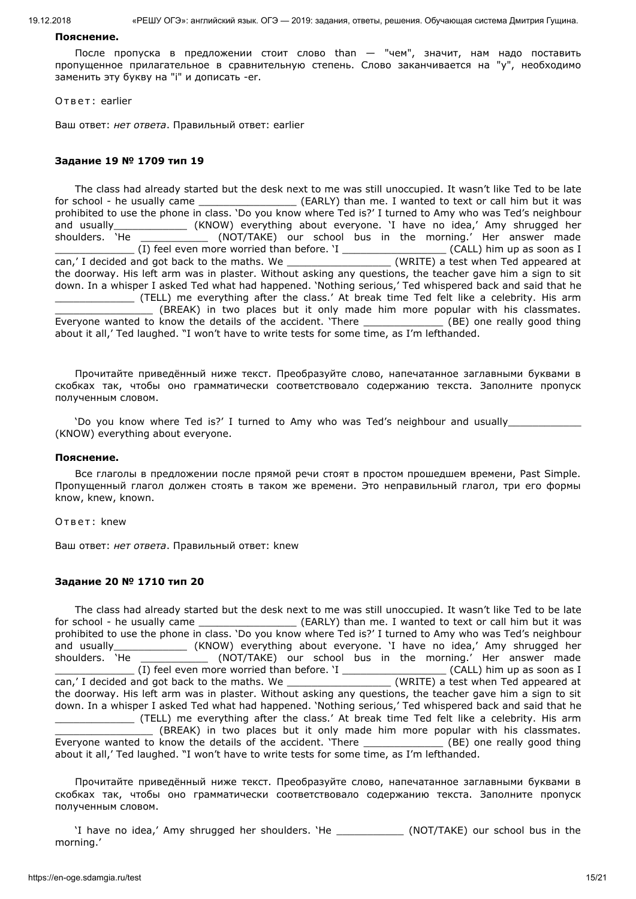После пропуска в предложении стоит слово than — "чем", значит, нам надо поставить пропущенное прилагательное в сравнительную степень. Слово заканчивается на "y", необходимо заменить эту букву на "i" и дописать -er.

Ответ: earlier

Ваш ответ: *нет ответа*. Правильный ответ: earlier

# **Задание 19 № 1709 тип 19**

The class had already started but the desk next to me was still unoccupied. It wasn't like Ted to be late for school - he usually came \_\_\_\_\_\_\_\_\_\_\_\_\_\_\_\_ (EARLY) than me. I wanted to text or call him but it was prohibited to use the phone in class. 'Do you know where Ted is?' I turned to Amy who was Ted's neighbour and usually\_\_\_\_\_\_\_\_\_\_\_\_\_\_ (KNOW) everything about everyone. 'I have no idea,' Amy shrugged her shoulders. 'He \_\_\_\_\_\_\_\_\_\_\_ (NOT/TAKE) our school bus in the morning.' Her answer made \_\_\_\_\_\_\_\_\_\_\_\_\_ (I) feel even more worried than before. 'I \_\_\_\_\_\_\_\_\_\_\_\_\_\_\_\_\_ (CALL) him up as soon as I can,' I decided and got back to the maths. We the doorway. His left arm was in plaster. Without asking any questions, the teacher gave him a sign to sit down. In a whisper I asked Ted what had happened. 'Nothing serious,' Ted whispered back and said that he \_\_\_\_\_\_\_\_\_\_\_\_\_ (TELL) me everything after the class.' At break time Ted felt like a celebrity. His arm (BREAK) in two places but it only made him more popular with his classmates. Everyone wanted to know the details of the accident. 'There \_\_\_\_\_\_\_\_\_\_\_\_\_\_\_\_\_\_\_\_ (BE) one really good thing about it all,' Ted laughed. "I won't have to write tests for some time, as I'm lefthanded.

Прочитайте приведённый ниже текст. Преобразуйте слово, напечатанное заглавными буквами в скобках так, чтобы оно грамматически соответствовало содержанию текста. Заполните пропуск полученным словом.

'Do you know where Ted is?' I turned to Amy who was Ted's neighbour and usually (KNOW) everything about everyone.

### **Пояснение.**

Все глаголы в предложении после прямой речи стоят в простом прошедшем времени, Past Simple. Пропущенный глагол должен стоять в таком же времени. Это неправильный глагол, три его формы know, knew, known.

Ответ: knew

Ваш ответ: *нет ответа*. Правильный ответ: knew

# **Задание 20 № 1710 тип 20**

The class had already started but the desk next to me was still unoccupied. It wasn't like Ted to be late for school - he usually came \_\_\_\_\_\_\_\_\_\_\_\_\_\_\_\_ (EARLY) than me. I wanted to text or call him but it was prohibited to use the phone in class. 'Do you know where Ted is?' I turned to Amy who was Ted's neighbour and usually\_\_\_\_\_\_\_\_\_\_\_\_\_\_ (KNOW) everything about everyone. 'I have no idea,' Amy shrugged her shoulders. 'He \_\_\_\_\_\_\_\_\_\_\_ (NOT/TAKE) our school bus in the morning.' Her answer made \_\_\_\_\_\_\_\_\_\_\_\_\_ (I) feel even more worried than before. 'I \_\_\_\_\_\_\_\_\_\_\_\_\_\_\_\_\_ (CALL) him up as soon as I can,' I decided and got back to the maths. We \_\_\_\_\_\_\_\_\_\_\_\_\_\_\_\_\_ (WRITE) a test when Ted appeared at the doorway. His left arm was in plaster. Without asking any questions, the teacher gave him a sign to sit down. In a whisper I asked Ted what had happened. 'Nothing serious,' Ted whispered back and said that he \_\_\_\_\_\_\_\_\_\_\_\_\_ (TELL) me everything after the class.' At break time Ted felt like a celebrity. His arm (BREAK) in two places but it only made him more popular with his classmates. Everyone wanted to know the details of the accident. There  $(BE)$  one really good thing about it all,' Ted laughed. "I won't have to write tests for some time, as I'm lefthanded.

Прочитайте приведённый ниже текст. Преобразуйте слово, напечатанное заглавными буквами в скобках так, чтобы оно грамматически соответствовало содержанию текста. Заполните пропуск полученным словом.

'I have no idea,' Amy shrugged her shoulders. 'He \_\_\_\_\_\_\_\_\_\_\_ (NOT/TAKE) our school bus in the morning.'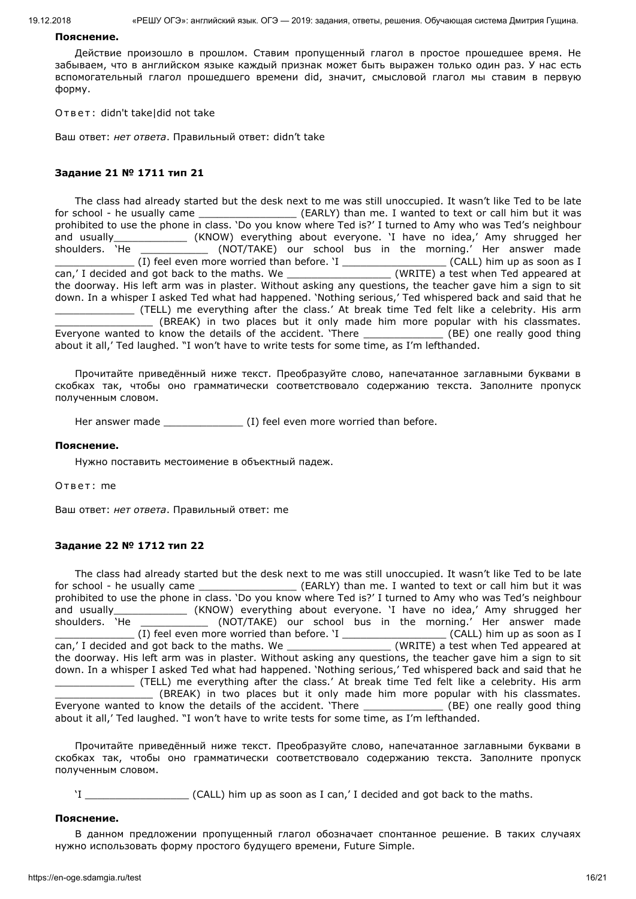Действие произошло в прошлом. Ставим пропущенный глагол в простое прошедшее время. Не забываем, что в английском языке каждый признак может быть выражен только один раз. У нас есть вспомогательный глагол прошедшего времени did, значит, смысловой глагол мы ставим в первую форму.

О т в е т: didn't take|did not take

Ваш ответ: *нет ответа*. Правильный ответ: didn't take

# **Задание 21 № 1711 тип 21**

The class had already started but the desk next to me was still unoccupied. It wasn't like Ted to be late for school - he usually came (EARLY) than me. I wanted to text or call him but it was  $f_{\text{max}}$  (EARLY) than me. I wanted to text or call him but it was prohibited to use the phone in class. 'Do you know where Ted is?' I turned to Amy who was Ted's neighbour and usually\_\_\_\_\_\_\_\_\_\_\_\_ (KNOW) everything about everyone. 'I have no idea,' Amy shrugged her shoulders. 'He \_\_\_\_\_\_\_\_\_\_\_ (NOT/TAKE) our school bus in the morning.' Her answer made  $(1)$  feel even more worried than before. 'I  $\overline{\phantom{a}}$ can,' I decided and got back to the maths. We \_\_\_\_\_\_\_\_\_\_\_\_\_\_\_\_\_ (WRITE) a test when Ted appeared at the doorway. His left arm was in plaster. Without asking any questions, the teacher gave him a sign to sit down. In a whisper I asked Ted what had happened. 'Nothing serious,' Ted whispered back and said that he \_\_\_\_\_\_\_\_\_\_\_\_\_ (TELL) me everything after the class.' At break time Ted felt like a celebrity. His arm (BREAK) in two places but it only made him more popular with his classmates. Everyone wanted to know the details of the accident. 'There \_\_\_\_\_\_\_\_\_\_\_\_\_\_\_\_\_\_\_\_\_ (BE) one really good thing about it all,' Ted laughed. "I won't have to write tests for some time, as I'm lefthanded.

Прочитайте приведённый ниже текст. Преобразуйте слово, напечатанное заглавными буквами в скобках так, чтобы оно грамматически соответствовало содержанию текста. Заполните пропуск полученным словом.

Her answer made \_\_\_\_\_\_\_\_\_\_\_\_\_ (I) feel even more worried than before.

# **Пояснение.**

Нужно поставить местоимение в объектный падеж.

Ответ: те

Ваш ответ: *нет ответа*. Правильный ответ: me

# **Задание 22 № 1712 тип 22**

The class had already started but the desk next to me was still unoccupied. It wasn't like Ted to be late for school - he usually came \_\_\_\_\_\_\_\_\_\_\_\_\_\_\_\_ (EARLY) than me. I wanted to text or call him but it was prohibited to use the phone in class. 'Do you know where Ted is?' I turned to Amy who was Ted's neighbour and usually\_\_\_\_\_\_\_\_\_\_\_\_\_\_ (KNOW) everything about everyone. 'I have no idea,' Amy shrugged her shoulders. 'He \_\_\_\_\_\_\_\_\_\_\_ (NOT/TAKE) our school bus in the morning.' Her answer made \_\_\_\_\_\_\_\_\_\_\_\_\_ (I) feel even more worried than before. 'I \_\_\_\_\_\_\_\_\_\_\_\_\_\_\_\_\_ (CALL) him up as soon as I can,' I decided and got back to the maths. We the doorway. His left arm was in plaster. Without asking any questions, the teacher gave him a sign to sit down. In a whisper I asked Ted what had happened. 'Nothing serious,' Ted whispered back and said that he \_\_\_\_\_\_\_\_\_\_\_\_\_ (TELL) me everything after the class.' At break time Ted felt like a celebrity. His arm (BREAK) in two places but it only made him more popular with his classmates. Everyone wanted to know the details of the accident. There (BE) one really good thing about it all,' Ted laughed. "I won't have to write tests for some time, as I'm lefthanded.

Прочитайте приведённый ниже текст. Преобразуйте слово, напечатанное заглавными буквами в скобках так, чтобы оно грамматически соответствовало содержанию текста. Заполните пропуск полученным словом.

'I \_\_\_\_\_\_\_\_\_\_\_\_\_\_\_\_\_ (CALL) him up as soon as I can,' I decided and got back to the maths.

### **Пояснение.**

В данном предложении пропущенный глагол обозначает спонтанное решение. В таких случаях нужно использовать форму простого будущего времени, Future Simple.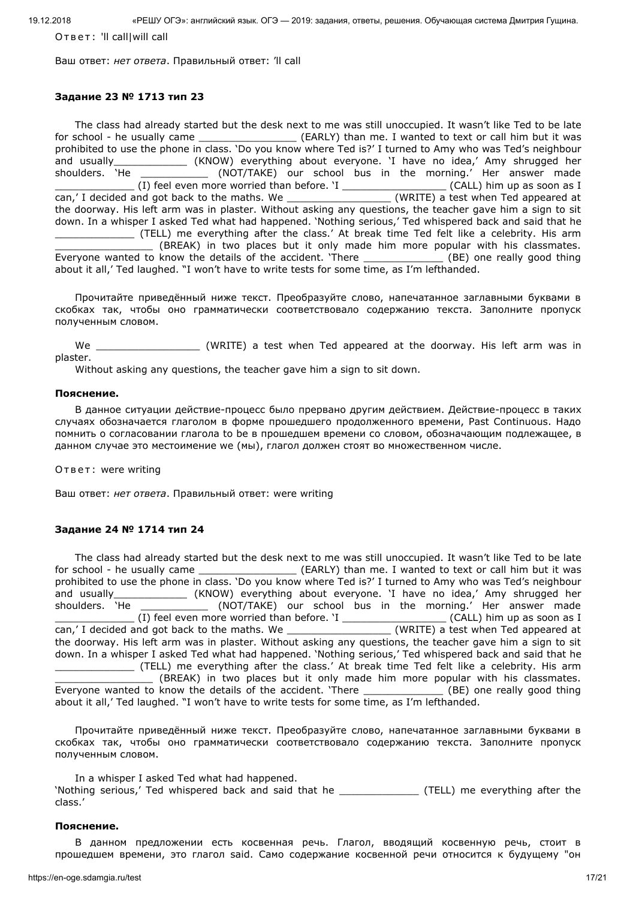О т в е т: 'll call|will call

Ваш ответ: *нет ответа*. Правильный ответ: 'll call

# **Задание 23 № 1713 тип 23**

The class had already started but the desk next to me was still unoccupied. It wasn't like Ted to be late for school - he usually came \_\_\_\_\_\_\_\_\_\_\_\_\_\_\_\_ (EARLY) than me. I wanted to text or call him but it was prohibited to use the phone in class. 'Do you know where Ted is?' I turned to Amy who was Ted's neighbour and usually\_\_\_\_\_\_\_\_\_\_\_\_ (KNOW) everything about everyone. 'I have no idea,' Amy shrugged her shoulders. 'He \_\_\_\_\_\_\_\_\_\_\_ (NOT/TAKE) our school bus in the morning.' Her answer made \_\_\_\_\_\_\_\_\_\_\_\_\_ (I) feel even more worried than before. 'I \_\_\_\_\_\_\_\_\_\_\_\_\_\_\_\_\_ (CALL) him up as soon as I can,' I decided and got back to the maths. We the doorway. His left arm was in plaster. Without asking any questions, the teacher gave him a sign to sit down. In a whisper I asked Ted what had happened. 'Nothing serious,' Ted whispered back and said that he \_\_\_\_\_\_\_\_\_\_\_\_\_ (TELL) me everything after the class.' At break time Ted felt like a celebrity. His arm \_\_\_\_\_\_\_\_\_\_\_\_\_\_\_\_ (BREAK) in two places but it only made him more popular with his classmates. Everyone wanted to know the details of the accident. 'There \_\_\_\_\_\_\_\_\_\_\_\_\_\_\_ (BE) one really good thing about it all,' Ted laughed. "I won't have to write tests for some time, as I'm lefthanded.

Прочитайте приведённый ниже текст. Преобразуйте слово, напечатанное заглавными буквами в скобках так, чтобы оно грамматически соответствовало содержанию текста. Заполните пропуск полученным словом.

We \_\_\_\_\_\_\_\_\_\_\_\_\_\_\_\_\_\_\_\_\_\_\_\_ (WRITE) a test when Ted appeared at the doorway. His left arm was in plaster.

Without asking any questions, the teacher gave him a sign to sit down.

#### **Пояснение.**

В данное ситуации действие-процесс было прервано другим действием. Действие-процесс в таких случаях обозначается глаголом в форме прошедшего продолженного времени, Past Continuous. Надо помнить о согласовании глагола to be в прошедшем времени со словом, обозначающим подлежащее, в данном случае это местоимение we (мы), глагол должен стоят во множественном числе.

Ответ: were writing

Ваш ответ: *нет ответа*. Правильный ответ: were writing

### **Задание 24 № 1714 тип 24**

The class had already started but the desk next to me was still unoccupied. It wasn't like Ted to be late for school - he usually came \_\_\_\_\_\_\_\_\_\_\_\_\_\_\_\_ (EARLY) than me. I wanted to text or call him but it was prohibited to use the phone in class. 'Do you know where Ted is?' I turned to Amy who was Ted's neighbour<br>and usually (KNOW) everything about everyone. 'I have no idea,' Amy shrugged her (KNOW) everything about everyone. 'I have no idea,' Amy shrugged her shoulders. 'He \_\_\_\_\_\_\_\_\_\_\_ (NOT/TAKE) our school bus in the morning.' Her answer made \_ (I) feel even more worried than before. `I \_\_\_\_\_\_\_\_\_\_\_\_\_\_\_\_\_\_\_\_\_\_\_\_\_\_(CALL) him up as soon as I and got back to the maths. We  $\overline{\text{can}}$ .' I decided and got back to the maths. We  $\overline{\phantom{a}}$ the doorway. His left arm was in plaster. Without asking any questions, the teacher gave him a sign to sit down. In a whisper I asked Ted what had happened. 'Nothing serious,' Ted whispered back and said that he \_\_\_\_\_\_\_\_\_\_\_\_\_ (TELL) me everything after the class.' At break time Ted felt like a celebrity. His arm \_\_\_\_\_\_\_\_\_\_\_\_\_\_\_\_ (BREAK) in two places but it only made him more popular with his classmates. Everyone wanted to know the details of the accident. 'There \_\_\_\_\_\_\_\_\_\_\_\_\_ (BE) one really good thing about it all,' Ted laughed. "I won't have to write tests for some time, as I'm lefthanded.

Прочитайте приведённый ниже текст. Преобразуйте слово, напечатанное заглавными буквами в скобках так, чтобы оно грамматически соответствовало содержанию текста. Заполните пропуск полученным словом.

In a whisper I asked Ted what had happened. 'Nothing serious,' Ted whispered back and said that he \_\_\_\_\_\_\_\_\_\_\_\_\_ (TELL) me everything after the class.'

#### **Пояснение.**

В данном предложении есть косвенная речь. Глагол, вводящий косвенную речь, стоит в прошедшем времени, это глагол said. Само содержание косвенной речи относится к будущему "он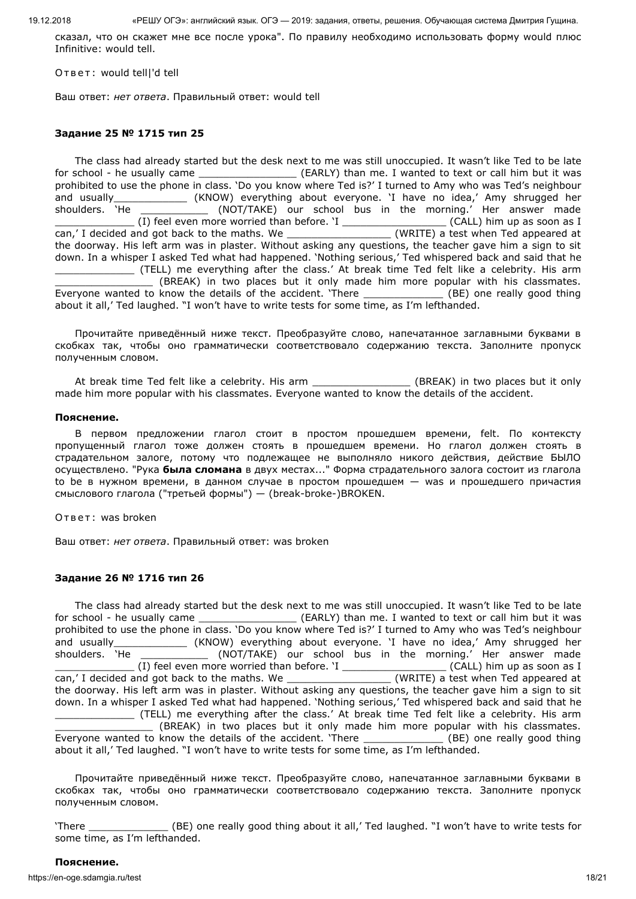сказал, что он скажет мне все после урока". По правилу необходимо использовать форму would плюс Infinitive: would tell.

Ответ: would tell|'d tell

Ваш ответ: *нет ответа*. Правильный ответ: would tell

# **Задание 25 № 1715 тип 25**

The class had already started but the desk next to me was still unoccupied. It wasn't like Ted to be late for school - he usually came \_\_\_\_\_\_\_\_\_\_\_\_\_\_\_\_ (EARLY) than me. I wanted to text or call him but it was prohibited to use the phone in class. 'Do you know where Ted is?' I turned to Amy who was Ted's neighbour and usually\_\_\_\_\_\_\_\_\_\_\_\_ (KNOW) everything about everyone. 'I have no idea,' Amy shrugged her shoulders. 'He \_\_\_\_\_\_\_\_\_\_\_ (NOT/TAKE) our school bus in the morning.' Her answer made \_\_\_\_\_\_\_\_\_\_\_\_\_ (I) feel even more worried than before. 'I \_\_\_\_\_\_\_\_\_\_\_\_\_\_\_\_\_ (CALL) him up as soon as I can,' I decided and got back to the maths. We the doorway. His left arm was in plaster. Without asking any questions, the teacher gave him a sign to sit down. In a whisper I asked Ted what had happened. 'Nothing serious,' Ted whispered back and said that he \_\_\_\_\_\_\_\_\_\_\_\_\_ (TELL) me everything after the class.' At break time Ted felt like a celebrity. His arm \_\_\_\_\_\_\_\_\_\_\_\_\_\_\_\_ (BREAK) in two places but it only made him more popular with his classmates. Everyone wanted to know the details of the accident. 'There \_\_\_\_\_\_\_\_\_\_\_\_\_\_\_\_\_\_\_\_ (BE) one really good thing about it all,' Ted laughed. "I won't have to write tests for some time, as I'm lefthanded.

Прочитайте приведённый ниже текст. Преобразуйте слово, напечатанное заглавными буквами в скобках так, чтобы оно грамматически соответствовало содержанию текста. Заполните пропуск полученным словом.

At break time Ted felt like a celebrity. His arm  $(BREAK)$  in two places but it only made him more popular with his classmates. Everyone wanted to know the details of the accident.

# **Пояснение.**

В первом предложении глагол стоит в простом прошедшем времени, felt. По контексту пропущенный глагол тоже должен стоять в прошедшем времени. Но глагол должен стоять в страдательном залоге, потому что подлежащее не выполняло никого действия, действие БЫЛО осуществлено. "Рука **была сломана** в двух местах..." Форма страдательного залога состоит из глагола to be в нужном времени, в данном случае в простом прошедшем — was и прошедшего причастия смыслового глагола ("третьей формы") — (break-broke-)BROKEN.

Ответ: was broken

Ваш ответ: *нет ответа*. Правильный ответ: was broken

# **Задание 26 № 1716 тип 26**

The class had already started but the desk next to me was still unoccupied. It wasn't like Ted to be late for school - he usually came \_\_\_\_\_\_\_\_\_\_\_\_\_\_\_\_ (EARLY) than me. I wanted to text or call him but it was prohibited to use the phone in class. 'Do you know where Ted is?' I turned to Amy who was Ted's neighbour and usually (KNOW) everything about everyone. 'I have no idea,' Amy shrugged her and usually\_\_\_\_\_\_\_\_\_\_\_\_\_\_\_(KNOW) everything about everyone. 'I have no idea,' Amy shrugged her<br>shoulders. 'He \_\_\_\_\_\_\_\_\_\_\_(NOT/TAKE) our school bus in the morning.' Her answer made (NOT/TAKE) our school bus in the morning.' Her answer made re worried than before. 'I  $\frac{1}{1}$  (CALL) him up as soon as I \_\_\_\_\_\_\_\_\_\_\_\_\_ (I) feel even more worried than before. 'I \_\_\_\_\_\_\_\_\_\_\_\_\_\_\_\_\_ (CALL) him up as soon as I  $\overline{\text{can}}$ ,' I decided and got back to the maths. We  $\overline{\phantom{a}}$ the doorway. His left arm was in plaster. Without asking any questions, the teacher gave him a sign to sit down. In a whisper I asked Ted what had happened. 'Nothing serious,' Ted whispered back and said that he \_\_\_\_\_\_\_\_\_\_\_\_\_ (TELL) me everything after the class.' At break time Ted felt like a celebrity. His arm \_\_\_\_\_\_\_\_\_\_\_\_\_\_\_\_ (BREAK) in two places but it only made him more popular with his classmates. Everyone wanted to know the details of the accident. 'There \_\_\_\_\_\_\_\_\_\_\_\_\_ (BE) one really good thing about it all,' Ted laughed. "I won't have to write tests for some time, as I'm lefthanded.

Прочитайте приведённый ниже текст. Преобразуйте слово, напечатанное заглавными буквами в скобках так, чтобы оно грамматически соответствовало содержанию текста. Заполните пропуск полученным словом.

'There \_\_\_\_\_\_\_\_\_\_\_\_\_ (BE) one really good thing about it all,' Ted laughed. "I won't have to write tests for some time, as I'm lefthanded.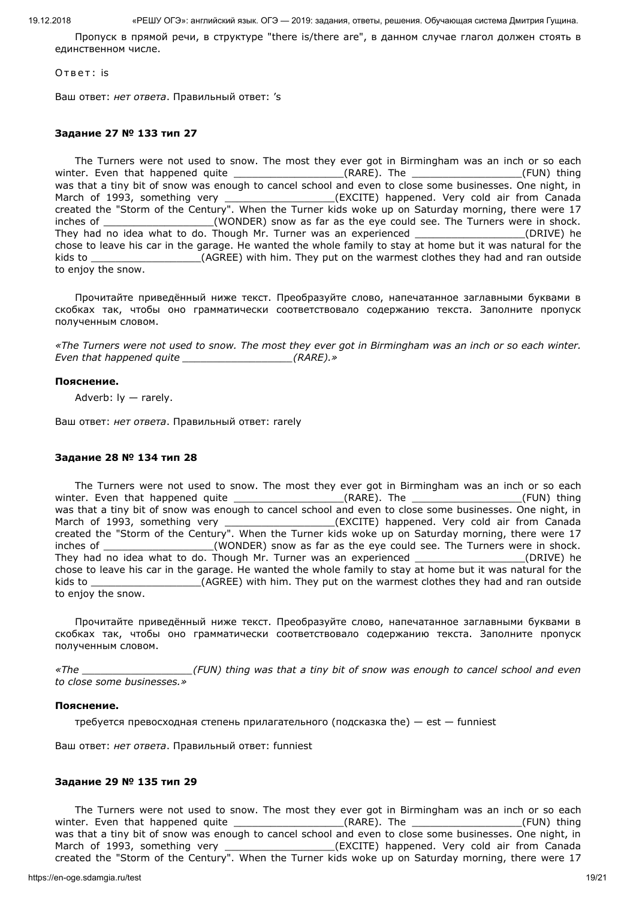Пропуск в прямой речи, в структуре "there is/there are", в данном случае глагол должен стоять в единственном числе.

Ответ: is

Ваш ответ: *нет ответа*. Правильный ответ: 's

# **Задание 27 № 133 тип 27**

The Turners were not used to snow. The most they ever got in Birmingham was an inch or so each winter. Even that happened quite \_\_\_\_\_\_\_\_\_\_\_\_\_\_\_\_\_\_(RARE). The \_\_\_\_\_\_\_\_\_\_\_\_\_\_\_\_\_\_(FUN) thing was that a tiny bit of snow was enough to cancel school and even to close some businesses. One night, in March of 1993, something very \_\_\_\_\_\_\_\_\_\_\_\_\_\_\_\_\_\_\_(EXCITE) happened. Very cold air from Canada created the "Storm of the Century". When the Turner kids woke up on Saturday morning, there were 17 inches of \_\_\_\_\_\_\_\_\_\_\_\_\_\_\_\_\_\_(WONDER) snow as far as the eye could see. The Turners were in shock. They had no idea what to do. Though Mr. Turner was an experienced \_\_\_\_\_\_\_\_\_\_\_\_\_\_\_\_\_\_(DRIVE) he chose to leave his car in the garage. He wanted the whole family to stay at home but it was natural for the kids to \_\_\_\_\_\_\_\_\_\_\_\_\_\_\_\_\_\_\_\_\_(AGREE) with him. They put on the warmest clothes they had and ran outside to enjoy the snow.

Прочитайте приведённый ниже текст. Преобразуйте слово, напечатанное заглавными буквами в скобках так, чтобы оно грамматически соответствовало содержанию текста. Заполните пропуск полученным словом.

*«The Turners were not used to snow. The most they ever got in Birmingham was an inch or so each winter. Even that happened quite \_\_\_\_\_\_\_\_\_\_\_\_\_\_\_\_\_\_(RARE).»* 

# **Пояснение.**

Adverb:  $ly$  – rarely.

Ваш ответ: *нет ответа*. Правильный ответ: rarely

### **Задание 28 № 134 тип 28**

The Turners were not used to snow. The most they ever got in Birmingham was an inch or so each winter. Even that happened quite \_\_\_\_\_\_\_\_\_\_\_\_\_\_\_\_\_\_(RARE). The \_\_\_\_\_\_\_\_\_\_\_\_\_\_\_\_\_\_(FUN) thing was that a tiny bit of snow was enough to cancel school and even to close some businesses. One night, in March of 1993, something very \_\_\_\_\_\_\_\_\_\_\_\_\_\_\_\_\_\_\_(EXCITE) happened. Very cold air from Canada created the "Storm of the Century". When the Turner kids woke up on Saturday morning, there were 17 inches of \_\_\_\_\_\_\_\_\_\_\_\_\_\_\_\_\_\_(WONDER) snow as far as the eye could see. The Turners were in shock. They had no idea what to do. Though Mr. Turner was an experienced \_\_\_\_\_\_\_\_\_\_\_\_\_\_\_\_\_\_(DRIVE) he chose to leave his car in the garage. He wanted the whole family to stay at home but it was natural for the kids to **EXECU EXECCU WE CONSTRIBUTE:** (AGREE) with him. They put on the warmest clothes they had and ran outside to enjoy the snow.

Прочитайте приведённый ниже текст. Преобразуйте слово, напечатанное заглавными буквами в скобках так, чтобы оно грамматически соответствовало содержанию текста. Заполните пропуск полученным словом.

*«The \_\_\_\_\_\_\_\_\_\_\_\_\_\_\_\_\_\_(FUN) thing was that a tiny bit of snow was enough to cancel school and even to close some businesses.»* 

# **Пояснение.**

требуется превосходная степень прилагательного (подсказка the)  $-$  est  $-$  funniest

Ваш ответ: *нет ответа*. Правильный ответ: funniest

### **Задание 29 № 135 тип 29**

The Turners were not used to snow. The most they ever got in Birmingham was an inch or so each winter. Even that happened quite \_\_\_\_\_\_\_\_\_\_\_\_\_\_\_\_\_\_(RARE). The \_\_\_\_\_\_\_\_\_\_\_\_\_\_\_\_\_\_(FUN) thing was that a tiny bit of snow was enough to cancel school and even to close some businesses. One night, in March of 1993, something very \_\_\_\_\_\_\_\_\_\_\_\_\_\_\_\_\_\_\_\_\_\_(EXCITE) happened. Very cold air from Canada created the "Storm of the Century". When the Turner kids woke up on Saturday morning, there were 17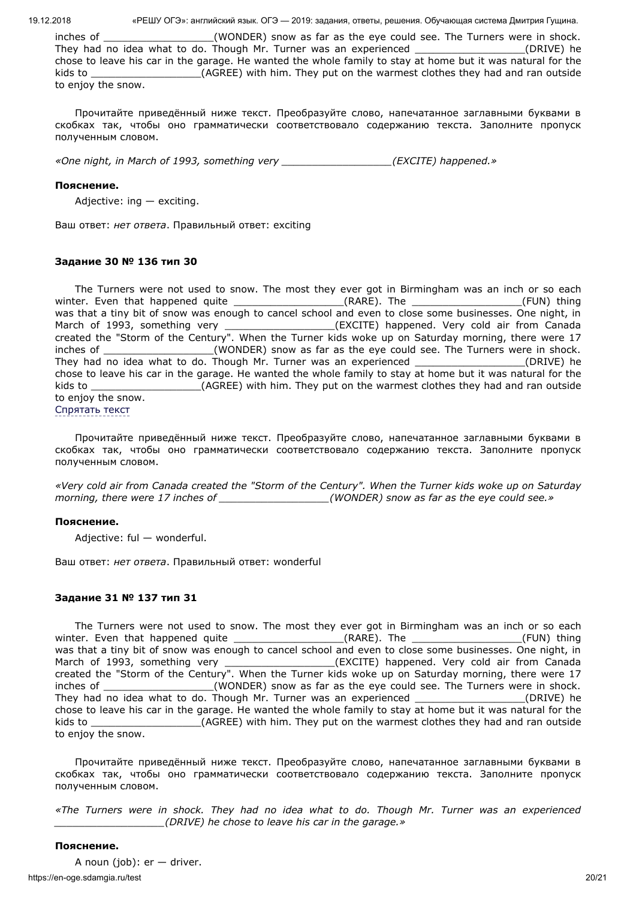inches of \_\_\_\_\_\_\_\_\_\_\_\_\_\_\_\_\_\_\_(WONDER) snow as far as the eye could see. The Turners were in shock. They had no idea what to do. Though Mr. Turner was an experienced \_\_\_\_\_\_\_\_\_\_\_\_\_\_\_\_\_\_(DRIVE) he chose to leave his car in the garage. He wanted the whole family to stay at home but it was natural for the kids to \_\_\_\_\_\_\_\_\_\_\_\_\_\_\_\_\_\_\_\_\_(AGREE) with him. They put on the warmest clothes they had and ran outside to enjoy the snow.

Прочитайте приведённый ниже текст. Преобразуйте слово, напечатанное заглавными буквами в скобках так, чтобы оно грамматически соответствовало содержанию текста. Заполните пропуск полученным словом.

*«One night, in March of 1993, something very \_\_\_\_\_\_\_\_\_\_\_\_\_\_\_\_\_\_(EXCITE) happened.»*

# **Пояснение.**

Adjective: ing — exciting.

Ваш ответ: *нет ответа*. Правильный ответ: exciting

# **Задание 30 № 136 тип 30**

The Turners were not used to snow. The most they ever got in Birmingham was an inch or so each winter. Even that happened quite \_\_\_\_\_\_\_\_\_\_\_\_\_\_\_\_\_\_(RARE). The \_\_\_\_\_\_\_\_\_\_\_\_\_\_\_\_\_\_(FUN) thing was that a tiny bit of snow was enough to cancel school and even to close some businesses. One night, in March of 1993, something very \_\_\_\_\_\_\_\_\_\_\_\_\_\_\_\_\_\_\_\_(EXCITE) happened. Very cold air from Canada created the "Storm of the Century". When the Turner kids woke up on Saturday morning, there were 17 inches of \_\_\_\_\_\_\_\_\_\_\_\_\_\_\_\_\_\_(WONDER) snow as far as the eye could see. The Turners were in shock. They had no idea what to do. Though Mr. Turner was an experienced \_\_\_\_\_\_\_\_\_\_\_\_\_\_\_\_\_\_(DRIVE) he chose to leave his car in the garage. He wanted the whole family to stay at home but it was natural for the kids to \_\_\_\_\_\_\_\_\_\_\_\_\_\_\_\_\_\_\_\_\_(AGREE) with him. They put on the warmest clothes they had and ran outside to enjoy the snow.

[Спрятать текст](javascript:void(0))

Прочитайте приведённый ниже текст. Преобразуйте слово, напечатанное заглавными буквами в скобках так, чтобы оно грамматически соответствовало содержанию текста. Заполните пропуск полученным словом.

*«Very cold air from Canada created the "Storm of the Century". When the Turner kids woke up on Saturday morning, there were 17 inches of \_\_\_\_\_\_\_\_\_\_\_\_\_\_\_\_\_\_(WONDER) snow as far as the eye could see.»*

# **Пояснение.**

Adjective: ful — wonderful.

Ваш ответ: *нет ответа*. Правильный ответ: wonderful

# **Задание 31 № 137 тип 31**

The Turners were not used to snow. The most they ever got in Birmingham was an inch or so each winter. Even that happened quite equal to the control (RARE). The the control of thing (FUN) thing was that a tiny bit of snow was enough to cancel school and even to close some businesses. One night, in March of 1993, something very example and the CEXCITE) happened. Very cold air from Canada created the "Storm of the Century". When the Turner kids woke up on Saturday morning, there were 17 inches of  $\sim$  (WONDER) snow as far as the eye could see. The Turners were in shock. They had no idea what to do. Though Mr. Turner was an experienced entitled the state (DRIVE) he chose to leave his car in the garage. He wanted the whole family to stay at home but it was natural for the kids to **the contract of the CAGREE**) with him. They put on the warmest clothes they had and ran outside to enjoy the snow.

Прочитайте приведённый ниже текст. Преобразуйте слово, напечатанное заглавными буквами в скобках так, чтобы оно грамматически соответствовало содержанию текста. Заполните пропуск полученным словом.

*«The Turners were in shock. They had no idea what to do. Though Mr. Turner was an experienced \_\_\_\_\_\_\_\_\_\_\_\_\_\_\_\_\_\_(DRIVE) he chose to leave his car in the garage.»*

# **Пояснение.**

https://en-oge.sdamgia.ru/test 20/21 A noun (job):  $er - driver$ .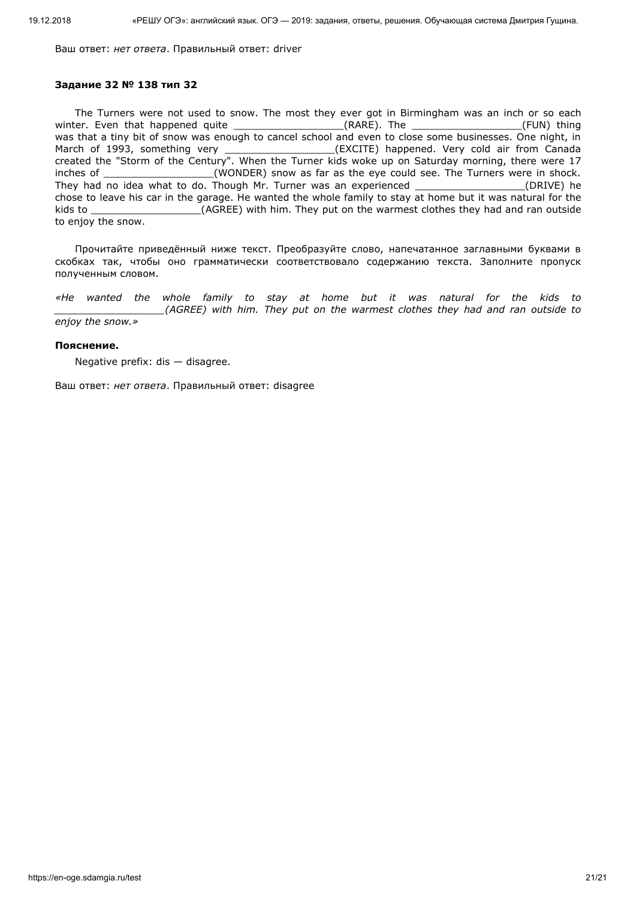Ваш ответ: *нет ответа*. Правильный ответ: driver

# **Задание 32 № 138 тип 32**

The Turners were not used to snow. The most they ever got in Birmingham was an inch or so each winter. Even that happened quite equally result to the control (RARE). The the control (FUN) thing was that a tiny bit of snow was enough to cancel school and even to close some businesses. One night, in March of 1993, something very \_\_\_\_\_\_\_\_\_\_\_\_\_\_\_\_\_\_(EXCITE) happened. Very cold air from Canada created the "Storm of the Century". When the Turner kids woke up on Saturday morning, there were 17 inches of  $(WONDER)$  snow as far as the eye could see. The Turners were in shock. They had no idea what to do. Though Mr. Turner was an experienced \_\_\_\_\_\_\_\_\_\_\_\_\_\_\_\_\_\_\_(DRIVE) he chose to leave his car in the garage. He wanted the whole family to stay at home but it was natural for the kids to **the contract to the CAGREE**) with him. They put on the warmest clothes they had and ran outside to enjoy the snow.

Прочитайте приведённый ниже текст. Преобразуйте слово, напечатанное заглавными буквами в скобках так, чтобы оно грамматически соответствовало содержанию текста. Заполните пропуск полученным словом.

*«He wanted the whole family to stay at home but it was natural for the kids to \_\_\_\_\_\_\_\_\_\_\_\_\_\_\_\_\_\_(AGREE) with him. They put on the warmest clothes they had and ran outside to enjoy the snow.»*

# **Пояснение.**

Negative prefix: dis — disagree.

Ваш ответ: *нет ответа*. Правильный ответ: disagree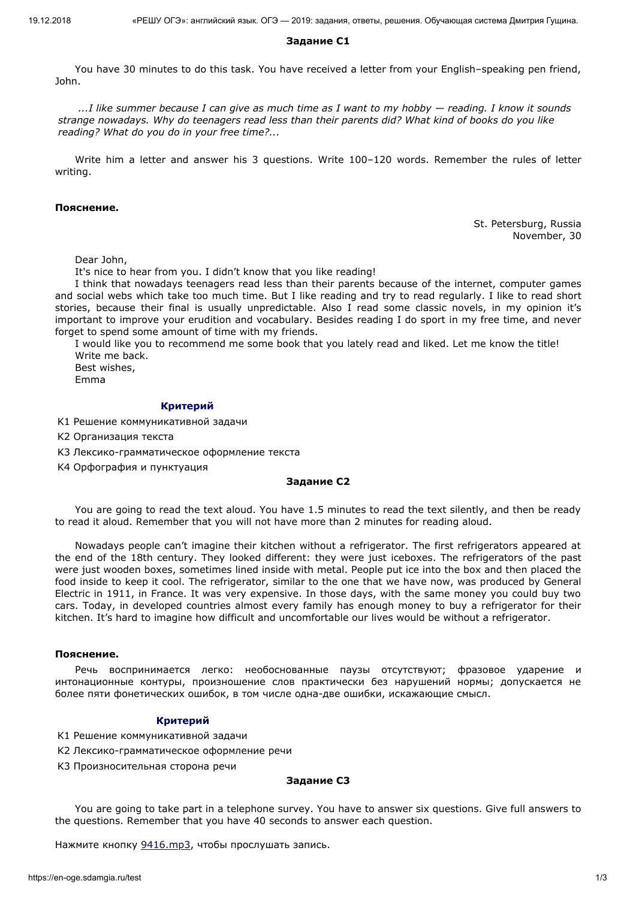# **Задание С1**

You have 30 minutes to do this task. You have received a letter from your English–speaking pen friend, John.

*...I like summer because I can give as much time as I want to my hobby — reading. I know it sounds strange nowadays. Why do teenagers read less than their parents did? What kind of books do you like reading? What do you do in your free time?...*

Write him a letter and answer his 3 questions. Write 100–120 words. Remember the rules of letter writing.

# **Пояснение.**

St. Petersburg, Russia November, 30

Dear John,

It's nice to hear from you. I didn't know that you like reading!

I think that nowadays teenagers read less than their parents because of the internet, computer games and social webs which take too much time. But I like reading and try to read regularly. I like to read short stories, because their final is usually unpredictable. Also I read some classic novels, in my opinion it's important to improve your erudition and vocabulary. Besides reading I do sport in my free time, and never forget to spend some amount of time with my friends.

I would like you to recommend me some book that you lately read and liked. Let me know the title! Write me back. Best wishes,

Emma

#### **Критерий**

- K1 Решение коммуникативной задачи
- K2 Организация текста
- K3 Лексико-грамматическое оформление текста
- K4 Орфография и пунктуация

#### **Задание С2**

You are going to read the text aloud. You have 1.5 minutes to read the text silently, and then be ready to read it aloud. Remember that you will not have more than 2 minutes for reading aloud.

Nowadays people can't imagine their kitchen without a refrigerator. The first refrigerators appeared at the end of the 18th century. They looked different: they were just iceboxes. The refrigerators of the past were just wooden boxes, sometimes lined inside with metal. People put ice into the box and then placed the food inside to keep it cool. The refrigerator, similar to the one that we have now, was produced by General Electric in 1911, in France. It was very expensive. In those days, with the same money you could buy two cars. Today, in developed countries almost every family has enough money to buy a refrigerator for their kitchen. It's hard to imagine how difficult and uncomfortable our lives would be without a refrigerator.

#### **Пояснение.**

Речь воспринимается легко: необоснованные паузы отсутствуют; фразовое ударение и интонационные контуры, произношение слов практически без нарушений нормы; допускается не более пяти фонетических ошибок, в том числе одна-две ошибки, искажающие смысл.

# **Критерий**

- K1 Решение коммуникативной задачи
- K2 Лексико-грамматическое оформление речи
- K3 Произносительная сторона речи

### **Задание С3**

You are going to take part in a telephone survey. You have to answer six questions. Give full answers to the questions. Remember that you have 40 seconds to answer each question.

Нажмите кнопку [9416.mp3](https://en-oge.sdamgia.ru/files/9416.mp3), чтобы прослушать запись.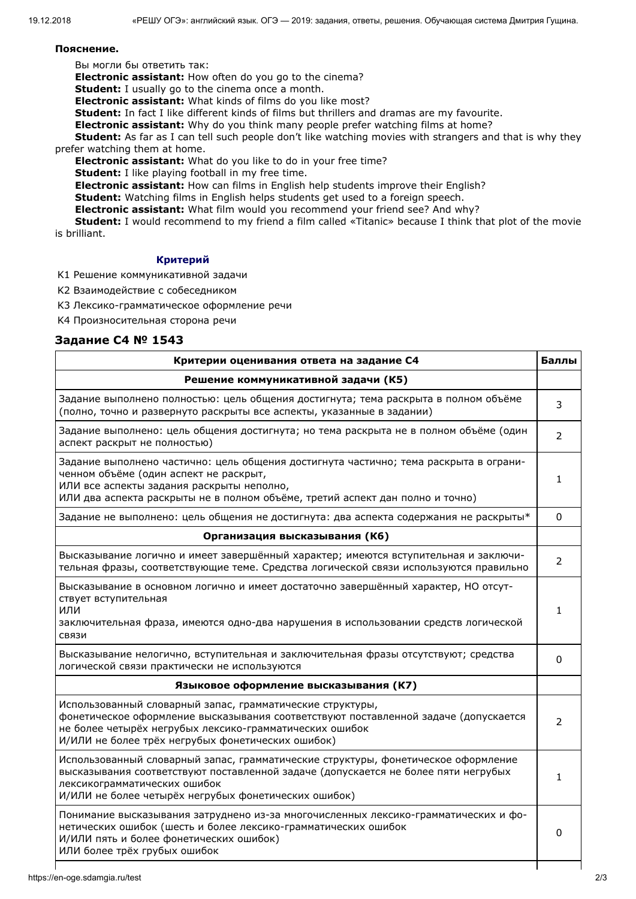Вы могли бы ответить так: **Electronic assistant:** How often do you go to the cinema? **Student:** I usually go to the cinema once a month. **Electronic assistant:** What kinds of films do you like most? **Student:** In fact I like different kinds of films but thrillers and dramas are my favourite. **Electronic assistant:** Why do you think many people prefer watching films at home? **Student:** As far as I can tell such people don't like watching movies with strangers and that is why they prefer watching them at home. **Electronic assistant:** What do you like to do in your free time? **Student:** I like playing football in my free time. **Electronic assistant:** How can films in English help students improve their English? **Student:** Watching films in English helps students get used to a foreign speech. **Electronic assistant:** What film would you recommend your friend see? And why? **Student:** I would recommend to my friend a film called «Titanic» because I think that plot of the movie

is brilliant.

# **Критерий**

- K1 Решение коммуникативной задачи
- K2 Взаимодействие с собеседником
- K3 Лексико-грамматическое оформление речи
- K4 Произносительная сторона речи

# **Задание С4 № 1543**

| Критерии оценивания ответа на задание С4                                                                                                                                                                                                                         |                |  |  |
|------------------------------------------------------------------------------------------------------------------------------------------------------------------------------------------------------------------------------------------------------------------|----------------|--|--|
| Решение коммуникативной задачи (К5)                                                                                                                                                                                                                              |                |  |  |
| Задание выполнено полностью: цель общения достигнута; тема раскрыта в полном объёме<br>(полно, точно и развернуто раскрыты все аспекты, указанные в задании)                                                                                                     | 3              |  |  |
| Задание выполнено: цель общения достигнута; но тема раскрыта не в полном объёме (один<br>аспект раскрыт не полностью)                                                                                                                                            | $\overline{2}$ |  |  |
| Задание выполнено частично: цель общения достигнута частично; тема раскрыта в ограни-<br>ченном объёме (один аспект не раскрыт,<br>ИЛИ все аспекты задания раскрыты неполно,<br>ИЛИ два аспекта раскрыты не в полном объёме, третий аспект дан полно и точно)    | $\mathbf{1}$   |  |  |
| Задание не выполнено: цель общения не достигнута: два аспекта содержания не раскрыты*                                                                                                                                                                            | $\mathbf 0$    |  |  |
| Организация высказывания (К6)                                                                                                                                                                                                                                    |                |  |  |
| Высказывание логично и имеет завершённый характер; имеются вступительная и заключи-<br>тельная фразы, соответствующие теме. Средства логической связи используются правильно                                                                                     | $\overline{2}$ |  |  |
| Высказывание в основном логично и имеет достаточно завершённый характер, НО отсут-<br>ствует вступительная<br>или<br>заключительная фраза, имеются одно-два нарушения в использовании средств логической<br>СВЯЗИ                                                | $\mathbf{1}$   |  |  |
| Высказывание нелогично, вступительная и заключительная фразы отсутствуют; средства<br>логической связи практически не используются                                                                                                                               | $\mathbf 0$    |  |  |
| Языковое оформление высказывания (К7)                                                                                                                                                                                                                            |                |  |  |
| Использованный словарный запас, грамматические структуры,<br>фонетическое оформление высказывания соответствуют поставленной задаче (допускается<br>не более четырёх негрубых лексико-грамматических ошибок<br>И/ИЛИ не более трёх негрубых фонетических ошибок) | $\overline{2}$ |  |  |
| Использованный словарный запас, грамматические структуры, фонетическое оформление<br>высказывания соответствуют поставленной задаче (допускается не более пяти негрубых<br>лексикограмматических ошибок<br>И/ИЛИ не более четырёх негрубых фонетических ошибок)  | $\mathbf{1}$   |  |  |
| Понимание высказывания затруднено из-за многочисленных лексико-грамматических и фо-<br>нетических ошибок (шесть и более лексико-грамматических ошибок<br>И/ИЛИ пять и более фонетических ошибок)<br>ИЛИ более трёх грубых ошибок                                 | 0              |  |  |